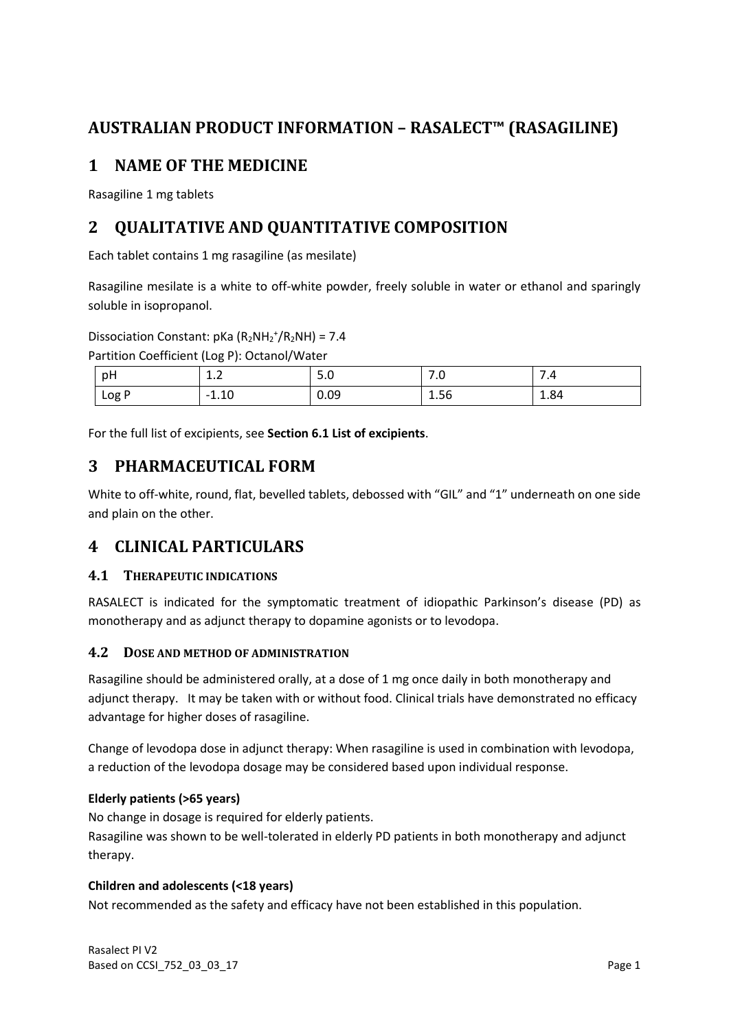# **AUSTRALIAN PRODUCT INFORMATION – RASALECT™ (RASAGILINE)**

# **1 NAME OF THE MEDICINE**

Rasagiline 1 mg tablets

# **2 QUALITATIVE AND QUANTITATIVE COMPOSITION**

Each tablet contains 1 mg rasagiline (as mesilate)

Rasagiline mesilate is a white to off-white powder, freely soluble in water or ethanol and sparingly soluble in isopropanol.

Dissociation Constant:  $pKa (R_2NH_2^+/R_2NH) = 7.4$ 

Partition Coefficient (Log P): Octanol/Water

| pH   | <b></b>             | 5.U  | $\overline{\phantom{a}}$<br>. . U | 7.4  |
|------|---------------------|------|-----------------------------------|------|
| LogP | 10<br>$-1$<br>'⊥.⊥∪ | 0.09 | 1.56                              | 1.84 |

For the full list of excipients, see **Section 6.1 List of excipients**.

# **3 PHARMACEUTICAL FORM**

White to off-white, round, flat, bevelled tablets, debossed with "GIL" and "1" underneath on one side and plain on the other.

# **4 CLINICAL PARTICULARS**

## **4.1 THERAPEUTIC INDICATIONS**

RASALECT is indicated for the symptomatic treatment of idiopathic Parkinson's disease (PD) as monotherapy and as adjunct therapy to dopamine agonists or to levodopa.

## **4.2 DOSE AND METHOD OF ADMINISTRATION**

Rasagiline should be administered orally, at a dose of 1 mg once daily in both monotherapy and adjunct therapy. It may be taken with or without food. Clinical trials have demonstrated no efficacy advantage for higher doses of rasagiline.

Change of levodopa dose in adjunct therapy: When rasagiline is used in combination with levodopa, a reduction of the levodopa dosage may be considered based upon individual response.

## **Elderly patients (>65 years)**

No change in dosage is required for elderly patients. Rasagiline was shown to be well-tolerated in elderly PD patients in both monotherapy and adjunct therapy.

## **Children and adolescents (<18 years)**

Not recommended as the safety and efficacy have not been established in this population.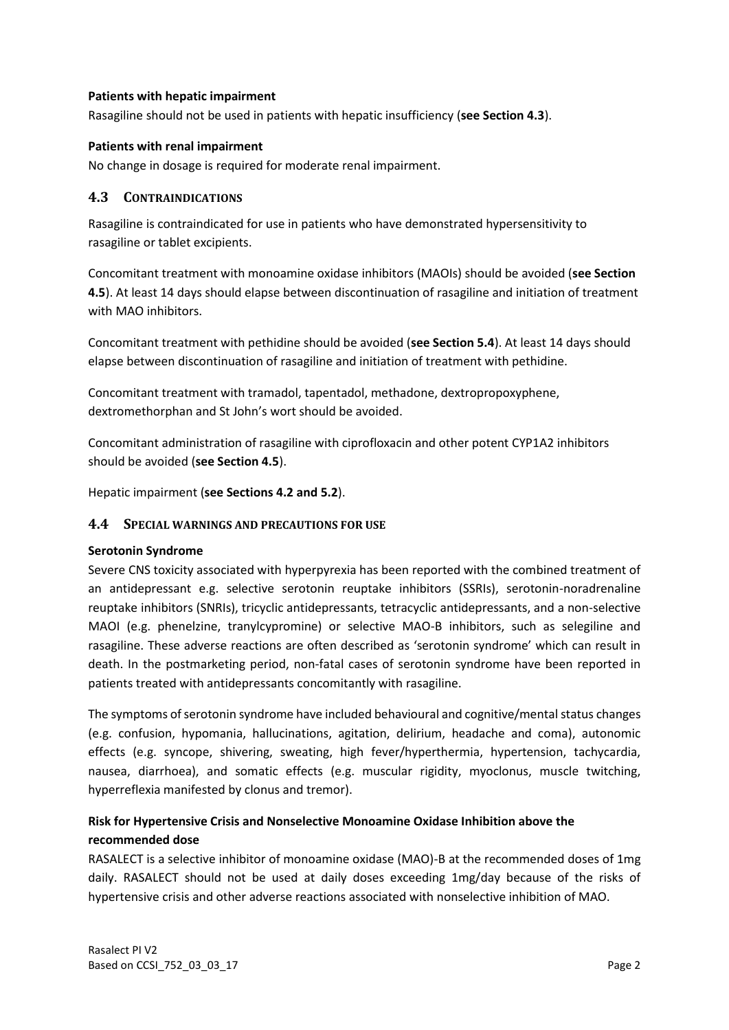#### **Patients with hepatic impairment**

Rasagiline should not be used in patients with hepatic insufficiency (**see Section 4.3**).

### **Patients with renal impairment**

No change in dosage is required for moderate renal impairment.

## **4.3 CONTRAINDICATIONS**

Rasagiline is contraindicated for use in patients who have demonstrated hypersensitivity to rasagiline or tablet excipients.

Concomitant treatment with monoamine oxidase inhibitors (MAOIs) should be avoided (**see Section 4.5**). At least 14 days should elapse between discontinuation of rasagiline and initiation of treatment with MAO inhibitors.

Concomitant treatment with pethidine should be avoided (**see Section 5.4**). At least 14 days should elapse between discontinuation of rasagiline and initiation of treatment with pethidine.

Concomitant treatment with tramadol, tapentadol, methadone, dextropropoxyphene, dextromethorphan and St John's wort should be avoided.

Concomitant administration of rasagiline with ciprofloxacin and other potent CYP1A2 inhibitors should be avoided (**see Section 4.5**).

Hepatic impairment (**see Sections 4.2 and 5.2**).

## **4.4 SPECIAL WARNINGS AND PRECAUTIONS FOR USE**

#### **Serotonin Syndrome**

Severe CNS toxicity associated with hyperpyrexia has been reported with the combined treatment of an antidepressant e.g. selective serotonin reuptake inhibitors (SSRIs), serotonin-noradrenaline reuptake inhibitors (SNRIs), tricyclic antidepressants, tetracyclic antidepressants, and a non-selective MAOI (e.g. phenelzine, tranylcypromine) or selective MAO-B inhibitors, such as selegiline and rasagiline. These adverse reactions are often described as 'serotonin syndrome' which can result in death. In the postmarketing period, non-fatal cases of serotonin syndrome have been reported in patients treated with antidepressants concomitantly with rasagiline.

The symptoms of serotonin syndrome have included behavioural and cognitive/mental status changes (e.g. confusion, hypomania, hallucinations, agitation, delirium, headache and coma), autonomic effects (e.g. syncope, shivering, sweating, high fever/hyperthermia, hypertension, tachycardia, nausea, diarrhoea), and somatic effects (e.g. muscular rigidity, myoclonus, muscle twitching, hyperreflexia manifested by clonus and tremor).

## **Risk for Hypertensive Crisis and Nonselective Monoamine Oxidase Inhibition above the recommended dose**

RASALECT is a selective inhibitor of monoamine oxidase (MAO)-B at the recommended doses of 1mg daily. RASALECT should not be used at daily doses exceeding 1mg/day because of the risks of hypertensive crisis and other adverse reactions associated with nonselective inhibition of MAO.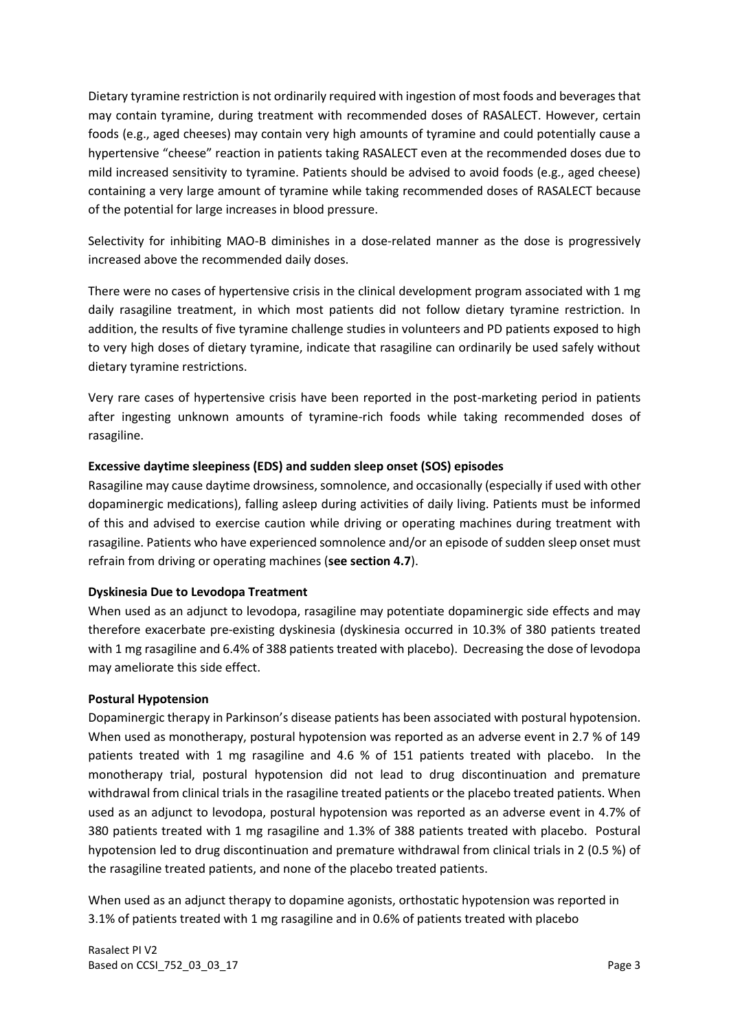Dietary tyramine restriction is not ordinarily required with ingestion of most foods and beverages that may contain tyramine, during treatment with recommended doses of RASALECT. However, certain foods (e.g., aged cheeses) may contain very high amounts of tyramine and could potentially cause a hypertensive "cheese" reaction in patients taking RASALECT even at the recommended doses due to mild increased sensitivity to tyramine. Patients should be advised to avoid foods (e.g., aged cheese) containing a very large amount of tyramine while taking recommended doses of RASALECT because of the potential for large increases in blood pressure.

Selectivity for inhibiting MAO-B diminishes in a dose-related manner as the dose is progressively increased above the recommended daily doses.

There were no cases of hypertensive crisis in the clinical development program associated with 1 mg daily rasagiline treatment, in which most patients did not follow dietary tyramine restriction. In addition, the results of five tyramine challenge studies in volunteers and PD patients exposed to high to very high doses of dietary tyramine, indicate that rasagiline can ordinarily be used safely without dietary tyramine restrictions.

Very rare cases of hypertensive crisis have been reported in the post-marketing period in patients after ingesting unknown amounts of tyramine-rich foods while taking recommended doses of rasagiline.

### **Excessive daytime sleepiness (EDS) and sudden sleep onset (SOS) episodes**

Rasagiline may cause daytime drowsiness, somnolence, and occasionally (especially if used with other dopaminergic medications), falling asleep during activities of daily living. Patients must be informed of this and advised to exercise caution while driving or operating machines during treatment with rasagiline. Patients who have experienced somnolence and/or an episode of sudden sleep onset must refrain from driving or operating machines (**see section 4.7**).

## **Dyskinesia Due to Levodopa Treatment**

When used as an adjunct to levodopa, rasagiline may potentiate dopaminergic side effects and may therefore exacerbate pre-existing dyskinesia (dyskinesia occurred in 10.3% of 380 patients treated with 1 mg rasagiline and 6.4% of 388 patients treated with placebo). Decreasing the dose of levodopa may ameliorate this side effect.

#### **Postural Hypotension**

Dopaminergic therapy in Parkinson's disease patients has been associated with postural hypotension. When used as monotherapy, postural hypotension was reported as an adverse event in 2.7 % of 149 patients treated with 1 mg rasagiline and 4.6 % of 151 patients treated with placebo. In the monotherapy trial, postural hypotension did not lead to drug discontinuation and premature withdrawal from clinical trials in the rasagiline treated patients or the placebo treated patients. When used as an adjunct to levodopa, postural hypotension was reported as an adverse event in 4.7% of 380 patients treated with 1 mg rasagiline and 1.3% of 388 patients treated with placebo. Postural hypotension led to drug discontinuation and premature withdrawal from clinical trials in 2 (0.5 %) of the rasagiline treated patients, and none of the placebo treated patients.

When used as an adjunct therapy to dopamine agonists, orthostatic hypotension was reported in 3.1% of patients treated with 1 mg rasagiline and in 0.6% of patients treated with placebo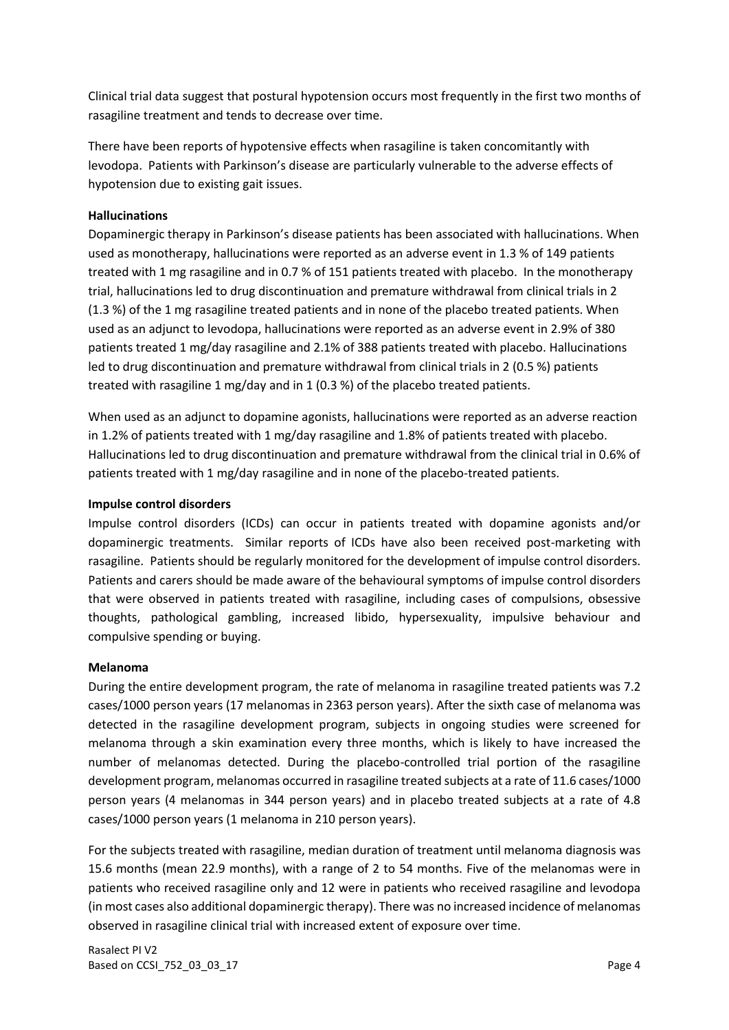Clinical trial data suggest that postural hypotension occurs most frequently in the first two months of rasagiline treatment and tends to decrease over time.

There have been reports of hypotensive effects when rasagiline is taken concomitantly with levodopa. Patients with Parkinson's disease are particularly vulnerable to the adverse effects of hypotension due to existing gait issues.

### **Hallucinations**

Dopaminergic therapy in Parkinson's disease patients has been associated with hallucinations. When used as monotherapy, hallucinations were reported as an adverse event in 1.3 % of 149 patients treated with 1 mg rasagiline and in 0.7 % of 151 patients treated with placebo. In the monotherapy trial, hallucinations led to drug discontinuation and premature withdrawal from clinical trials in 2 (1.3 %) of the 1 mg rasagiline treated patients and in none of the placebo treated patients. When used as an adjunct to levodopa, hallucinations were reported as an adverse event in 2.9% of 380 patients treated 1 mg/day rasagiline and 2.1% of 388 patients treated with placebo. Hallucinations led to drug discontinuation and premature withdrawal from clinical trials in 2 (0.5 %) patients treated with rasagiline 1 mg/day and in 1 (0.3 %) of the placebo treated patients.

When used as an adjunct to dopamine agonists, hallucinations were reported as an adverse reaction in 1.2% of patients treated with 1 mg/day rasagiline and 1.8% of patients treated with placebo. Hallucinations led to drug discontinuation and premature withdrawal from the clinical trial in 0.6% of patients treated with 1 mg/day rasagiline and in none of the placebo-treated patients.

#### **Impulse control disorders**

Impulse control disorders (ICDs) can occur in patients treated with dopamine agonists and/or dopaminergic treatments. Similar reports of ICDs have also been received post-marketing with rasagiline. Patients should be regularly monitored for the development of impulse control disorders. Patients and carers should be made aware of the behavioural symptoms of impulse control disorders that were observed in patients treated with rasagiline, including cases of compulsions, obsessive thoughts, pathological gambling, increased libido, hypersexuality, impulsive behaviour and compulsive spending or buying.

#### **Melanoma**

During the entire development program, the rate of melanoma in rasagiline treated patients was 7.2 cases/1000 person years (17 melanomas in 2363 person years). After the sixth case of melanoma was detected in the rasagiline development program, subjects in ongoing studies were screened for melanoma through a skin examination every three months, which is likely to have increased the number of melanomas detected. During the placebo-controlled trial portion of the rasagiline development program, melanomas occurred in rasagiline treated subjects at a rate of 11.6 cases/1000 person years (4 melanomas in 344 person years) and in placebo treated subjects at a rate of 4.8 cases/1000 person years (1 melanoma in 210 person years).

For the subjects treated with rasagiline, median duration of treatment until melanoma diagnosis was 15.6 months (mean 22.9 months), with a range of 2 to 54 months. Five of the melanomas were in patients who received rasagiline only and 12 were in patients who received rasagiline and levodopa (in most cases also additional dopaminergic therapy). There was no increased incidence of melanomas observed in rasagiline clinical trial with increased extent of exposure over time.

Rasalect PI V2 Based on CCSI\_752\_03\_03\_17 **Page 4**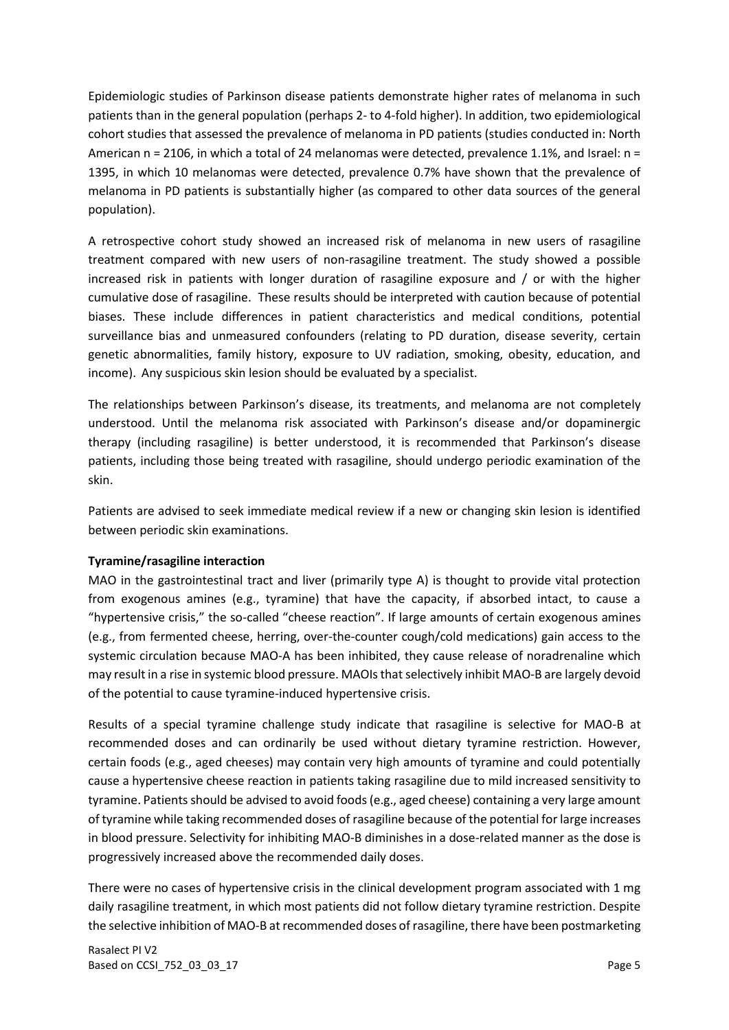Epidemiologic studies of Parkinson disease patients demonstrate higher rates of melanoma in such patients than in the general population (perhaps 2- to 4-fold higher). In addition, two epidemiological cohort studies that assessed the prevalence of melanoma in PD patients (studies conducted in: North American n = 2106, in which a total of 24 melanomas were detected, prevalence 1.1%, and Israel: n = 1395, in which 10 melanomas were detected, prevalence 0.7% have shown that the prevalence of melanoma in PD patients is substantially higher (as compared to other data sources of the general population).

A retrospective cohort study showed an increased risk of melanoma in new users of rasagiline treatment compared with new users of non-rasagiline treatment. The study showed a possible increased risk in patients with longer duration of rasagiline exposure and / or with the higher cumulative dose of rasagiline. These results should be interpreted with caution because of potential biases. These include differences in patient characteristics and medical conditions, potential surveillance bias and unmeasured confounders (relating to PD duration, disease severity, certain genetic abnormalities, family history, exposure to UV radiation, smoking, obesity, education, and income). Any suspicious skin lesion should be evaluated by a specialist.

The relationships between Parkinson's disease, its treatments, and melanoma are not completely understood. Until the melanoma risk associated with Parkinson's disease and/or dopaminergic therapy (including rasagiline) is better understood, it is recommended that Parkinson's disease patients, including those being treated with rasagiline, should undergo periodic examination of the skin.

Patients are advised to seek immediate medical review if a new or changing skin lesion is identified between periodic skin examinations.

## **Tyramine/rasagiline interaction**

MAO in the gastrointestinal tract and liver (primarily type A) is thought to provide vital protection from exogenous amines (e.g., tyramine) that have the capacity, if absorbed intact, to cause a "hypertensive crisis," the so-called "cheese reaction". If large amounts of certain exogenous amines (e.g., from fermented cheese, herring, over-the-counter cough/cold medications) gain access to the systemic circulation because MAO-A has been inhibited, they cause release of noradrenaline which may result in a rise in systemic blood pressure. MAOIs that selectively inhibit MAO-B are largely devoid of the potential to cause tyramine-induced hypertensive crisis.

Results of a special tyramine challenge study indicate that rasagiline is selective for MAO-B at recommended doses and can ordinarily be used without dietary tyramine restriction. However, certain foods (e.g., aged cheeses) may contain very high amounts of tyramine and could potentially cause a hypertensive cheese reaction in patients taking rasagiline due to mild increased sensitivity to tyramine. Patients should be advised to avoid foods (e.g., aged cheese) containing a very large amount of tyramine while taking recommended doses of rasagiline because of the potential for large increases in blood pressure. Selectivity for inhibiting MAO-B diminishes in a dose-related manner as the dose is progressively increased above the recommended daily doses.

There were no cases of hypertensive crisis in the clinical development program associated with 1 mg daily rasagiline treatment, in which most patients did not follow dietary tyramine restriction. Despite the selective inhibition of MAO-B at recommended doses of rasagiline, there have been postmarketing

Rasalect PI V2 Based on CCSI\_752\_03\_03\_17 **Page 5**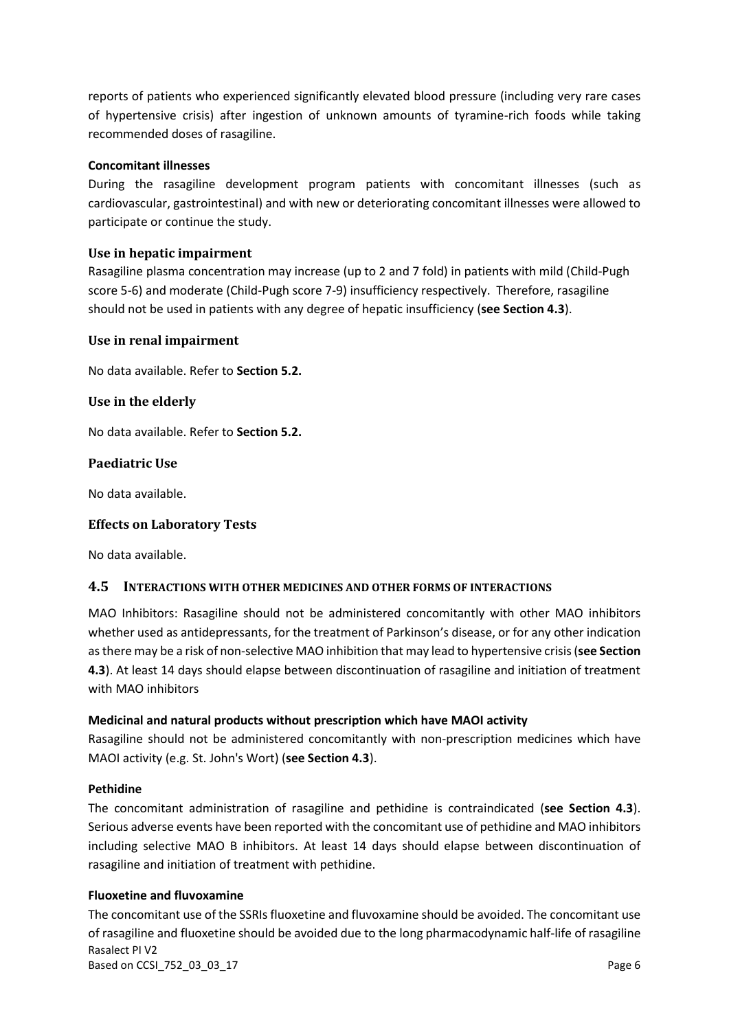reports of patients who experienced significantly elevated blood pressure (including very rare cases of hypertensive crisis) after ingestion of unknown amounts of tyramine-rich foods while taking recommended doses of rasagiline.

#### **Concomitant illnesses**

During the rasagiline development program patients with concomitant illnesses (such as cardiovascular, gastrointestinal) and with new or deteriorating concomitant illnesses were allowed to participate or continue the study.

#### **Use in hepatic impairment**

Rasagiline plasma concentration may increase (up to 2 and 7 fold) in patients with mild (Child-Pugh score 5-6) and moderate (Child-Pugh score 7-9) insufficiency respectively. Therefore, rasagiline should not be used in patients with any degree of hepatic insufficiency (**see Section 4.3**).

#### **Use in renal impairment**

No data available. Refer to **Section 5.2.**

#### **Use in the elderly**

No data available. Refer to **Section 5.2.**

#### **Paediatric Use**

No data available.

#### **Effects on Laboratory Tests**

No data available.

#### **4.5 INTERACTIONS WITH OTHER MEDICINES AND OTHER FORMS OF INTERACTIONS**

MAO Inhibitors: Rasagiline should not be administered concomitantly with other MAO inhibitors whether used as antidepressants, for the treatment of Parkinson's disease, or for any other indication as there may be a risk of non-selective MAO inhibition that may lead to hypertensive crisis (**see Section 4.3**). At least 14 days should elapse between discontinuation of rasagiline and initiation of treatment with MAO inhibitors

#### **Medicinal and natural products without prescription which have MAOI activity**

Rasagiline should not be administered concomitantly with non-prescription medicines which have MAOI activity (e.g. St. John's Wort) (**see Section 4.3**).

#### **Pethidine**

The concomitant administration of rasagiline and pethidine is contraindicated (**see Section 4.3**). Serious adverse events have been reported with the concomitant use of pethidine and MAO inhibitors including selective MAO B inhibitors. At least 14 days should elapse between discontinuation of rasagiline and initiation of treatment with pethidine.

#### **Fluoxetine and fluvoxamine**

Rasalect PI V2 Based on CCSI\_752\_03\_03\_17 **Page 6** The concomitant use of the SSRIs fluoxetine and fluvoxamine should be avoided. The concomitant use of rasagiline and fluoxetine should be avoided due to the long pharmacodynamic half-life of rasagiline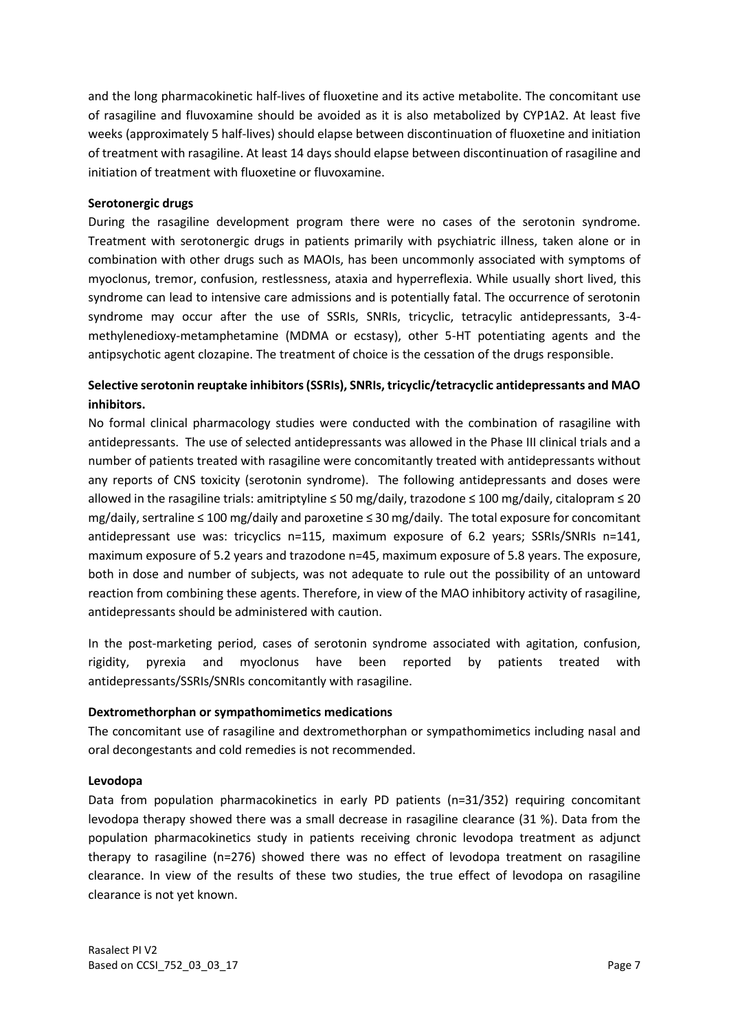and the long pharmacokinetic half-lives of fluoxetine and its active metabolite. The concomitant use of rasagiline and fluvoxamine should be avoided as it is also metabolized by CYP1A2. At least five weeks (approximately 5 half-lives) should elapse between discontinuation of fluoxetine and initiation of treatment with rasagiline. At least 14 days should elapse between discontinuation of rasagiline and initiation of treatment with fluoxetine or fluvoxamine.

#### **Serotonergic drugs**

During the rasagiline development program there were no cases of the serotonin syndrome. Treatment with serotonergic drugs in patients primarily with psychiatric illness, taken alone or in combination with other drugs such as MAOIs, has been uncommonly associated with symptoms of myoclonus, tremor, confusion, restlessness, ataxia and hyperreflexia. While usually short lived, this syndrome can lead to intensive care admissions and is potentially fatal. The occurrence of serotonin syndrome may occur after the use of SSRIs, SNRIs, tricyclic, tetracylic antidepressants, 3-4 methylenedioxy-metamphetamine (MDMA or ecstasy), other 5-HT potentiating agents and the antipsychotic agent clozapine. The treatment of choice is the cessation of the drugs responsible.

## **Selective serotonin reuptake inhibitors (SSRIs), SNRIs, tricyclic/tetracyclic antidepressants and MAO inhibitors.**

No formal clinical pharmacology studies were conducted with the combination of rasagiline with antidepressants. The use of selected antidepressants was allowed in the Phase III clinical trials and a number of patients treated with rasagiline were concomitantly treated with antidepressants without any reports of CNS toxicity (serotonin syndrome). The following antidepressants and doses were allowed in the rasagiline trials: amitriptyline ≤ 50 mg/daily, trazodone ≤ 100 mg/daily, citalopram ≤ 20 mg/daily, sertraline ≤ 100 mg/daily and paroxetine ≤ 30 mg/daily. The total exposure for concomitant antidepressant use was: tricyclics n=115, maximum exposure of 6.2 years; SSRIs/SNRIs n=141, maximum exposure of 5.2 years and trazodone n=45, maximum exposure of 5.8 years. The exposure, both in dose and number of subjects, was not adequate to rule out the possibility of an untoward reaction from combining these agents. Therefore, in view of the MAO inhibitory activity of rasagiline, antidepressants should be administered with caution.

In the post-marketing period, cases of serotonin syndrome associated with agitation, confusion, rigidity, pyrexia and myoclonus have been reported by patients treated with antidepressants/SSRIs/SNRIs concomitantly with rasagiline.

#### **Dextromethorphan or sympathomimetics medications**

The concomitant use of rasagiline and dextromethorphan or sympathomimetics including nasal and oral decongestants and cold remedies is not recommended.

#### **Levodopa**

Data from population pharmacokinetics in early PD patients (n=31/352) requiring concomitant levodopa therapy showed there was a small decrease in rasagiline clearance (31 %). Data from the population pharmacokinetics study in patients receiving chronic levodopa treatment as adjunct therapy to rasagiline (n=276) showed there was no effect of levodopa treatment on rasagiline clearance. In view of the results of these two studies, the true effect of levodopa on rasagiline clearance is not yet known.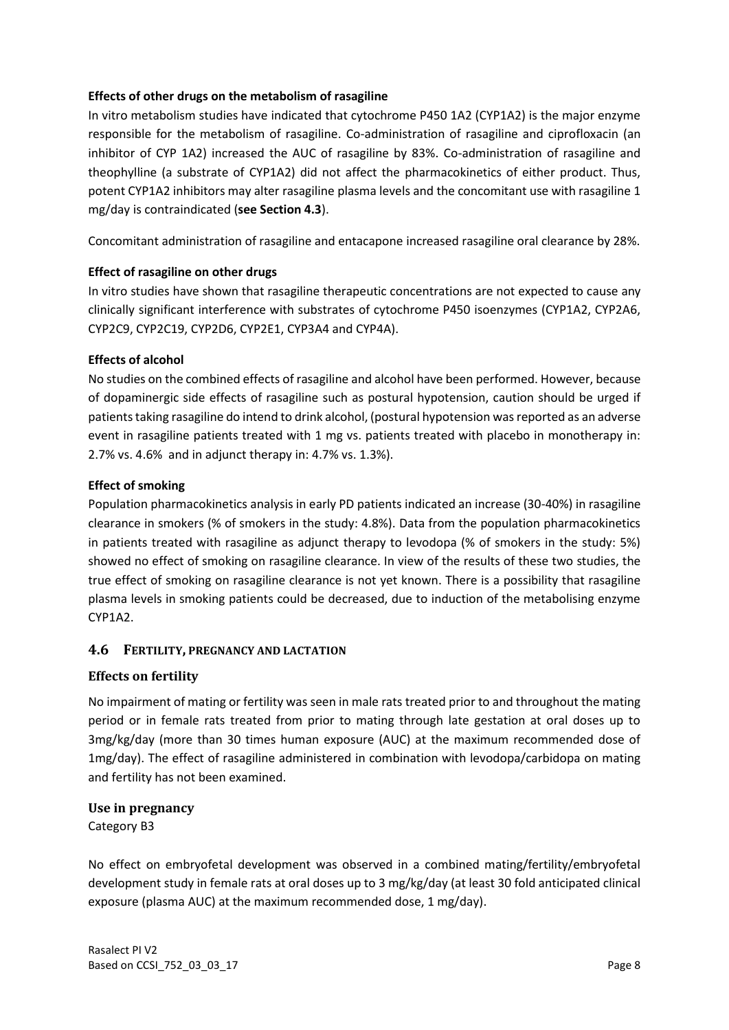### **Effects of other drugs on the metabolism of rasagiline**

In vitro metabolism studies have indicated that cytochrome P450 1A2 (CYP1A2) is the major enzyme responsible for the metabolism of rasagiline. Co-administration of rasagiline and ciprofloxacin (an inhibitor of CYP 1A2) increased the AUC of rasagiline by 83%. Co-administration of rasagiline and theophylline (a substrate of CYP1A2) did not affect the pharmacokinetics of either product. Thus, potent CYP1A2 inhibitors may alter rasagiline plasma levels and the concomitant use with rasagiline 1 mg/day is contraindicated (**see Section 4.3**).

Concomitant administration of rasagiline and entacapone increased rasagiline oral clearance by 28%.

### **Effect of rasagiline on other drugs**

In vitro studies have shown that rasagiline therapeutic concentrations are not expected to cause any clinically significant interference with substrates of cytochrome P450 isoenzymes (CYP1A2, CYP2A6, CYP2C9, CYP2C19, CYP2D6, CYP2E1, CYP3A4 and CYP4A).

### **Effects of alcohol**

No studies on the combined effects of rasagiline and alcohol have been performed. However, because of dopaminergic side effects of rasagiline such as postural hypotension, caution should be urged if patients taking rasagiline do intend to drink alcohol, (postural hypotension was reported as an adverse event in rasagiline patients treated with 1 mg vs. patients treated with placebo in monotherapy in: 2.7% vs. 4.6% and in adjunct therapy in: 4.7% vs. 1.3%).

### **Effect of smoking**

Population pharmacokinetics analysis in early PD patients indicated an increase (30-40%) in rasagiline clearance in smokers (% of smokers in the study: 4.8%). Data from the population pharmacokinetics in patients treated with rasagiline as adjunct therapy to levodopa (% of smokers in the study: 5%) showed no effect of smoking on rasagiline clearance. In view of the results of these two studies, the true effect of smoking on rasagiline clearance is not yet known. There is a possibility that rasagiline plasma levels in smoking patients could be decreased, due to induction of the metabolising enzyme CYP1A2.

## **4.6 FERTILITY, PREGNANCY AND LACTATION**

## **Effects on fertility**

No impairment of mating or fertility was seen in male rats treated prior to and throughout the mating period or in female rats treated from prior to mating through late gestation at oral doses up to 3mg/kg/day (more than 30 times human exposure (AUC) at the maximum recommended dose of 1mg/day). The effect of rasagiline administered in combination with levodopa/carbidopa on mating and fertility has not been examined.

#### **Use in pregnancy**

Category B3

No effect on embryofetal development was observed in a combined mating/fertility/embryofetal development study in female rats at oral doses up to 3 mg/kg/day (at least 30 fold anticipated clinical exposure (plasma AUC) at the maximum recommended dose, 1 mg/day).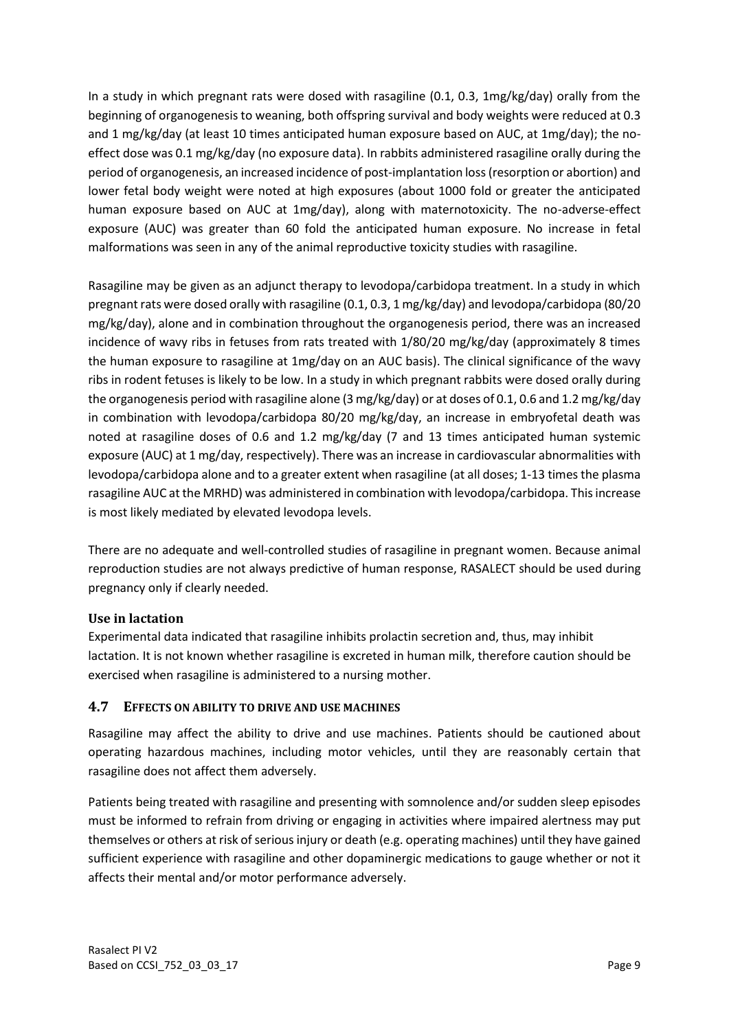In a study in which pregnant rats were dosed with rasagiline (0.1, 0.3, 1mg/kg/day) orally from the beginning of organogenesis to weaning, both offspring survival and body weights were reduced at 0.3 and 1 mg/kg/day (at least 10 times anticipated human exposure based on AUC, at 1mg/day); the noeffect dose was 0.1 mg/kg/day (no exposure data). In rabbits administered rasagiline orally during the period of organogenesis, an increased incidence of post-implantation loss (resorption or abortion) and lower fetal body weight were noted at high exposures (about 1000 fold or greater the anticipated human exposure based on AUC at 1mg/day), along with maternotoxicity. The no-adverse-effect exposure (AUC) was greater than 60 fold the anticipated human exposure. No increase in fetal malformations was seen in any of the animal reproductive toxicity studies with rasagiline.

Rasagiline may be given as an adjunct therapy to levodopa/carbidopa treatment. In a study in which pregnant rats were dosed orally with rasagiline (0.1, 0.3, 1 mg/kg/day) and levodopa/carbidopa (80/20 mg/kg/day), alone and in combination throughout the organogenesis period, there was an increased incidence of wavy ribs in fetuses from rats treated with 1/80/20 mg/kg/day (approximately 8 times the human exposure to rasagiline at 1mg/day on an AUC basis). The clinical significance of the wavy ribs in rodent fetuses is likely to be low. In a study in which pregnant rabbits were dosed orally during the organogenesis period with rasagiline alone (3 mg/kg/day) or at doses of 0.1, 0.6 and 1.2 mg/kg/day in combination with levodopa/carbidopa 80/20 mg/kg/day, an increase in embryofetal death was noted at rasagiline doses of 0.6 and 1.2 mg/kg/day (7 and 13 times anticipated human systemic exposure (AUC) at 1 mg/day, respectively). There was an increase in cardiovascular abnormalities with levodopa/carbidopa alone and to a greater extent when rasagiline (at all doses; 1-13 times the plasma rasagiline AUC at the MRHD) was administered in combination with levodopa/carbidopa. This increase is most likely mediated by elevated levodopa levels.

There are no adequate and well-controlled studies of rasagiline in pregnant women. Because animal reproduction studies are not always predictive of human response, RASALECT should be used during pregnancy only if clearly needed.

## **Use in lactation**

Experimental data indicated that rasagiline inhibits prolactin secretion and, thus, may inhibit lactation. It is not known whether rasagiline is excreted in human milk, therefore caution should be exercised when rasagiline is administered to a nursing mother.

## **4.7 EFFECTS ON ABILITY TO DRIVE AND USE MACHINES**

Rasagiline may affect the ability to drive and use machines. Patients should be cautioned about operating hazardous machines, including motor vehicles, until they are reasonably certain that rasagiline does not affect them adversely.

Patients being treated with rasagiline and presenting with somnolence and/or sudden sleep episodes must be informed to refrain from driving or engaging in activities where impaired alertness may put themselves or others at risk of serious injury or death (e.g. operating machines) until they have gained sufficient experience with rasagiline and other dopaminergic medications to gauge whether or not it affects their mental and/or motor performance adversely.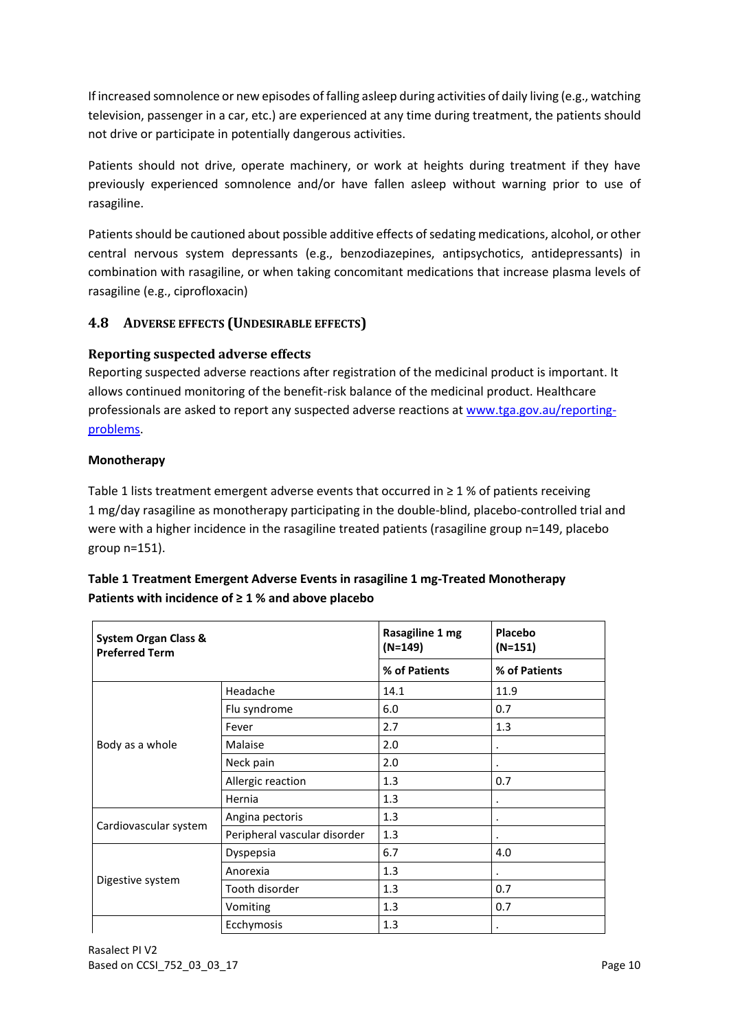If increased somnolence or new episodes of falling asleep during activities of daily living (e.g., watching television, passenger in a car, etc.) are experienced at any time during treatment, the patients should not drive or participate in potentially dangerous activities.

Patients should not drive, operate machinery, or work at heights during treatment if they have previously experienced somnolence and/or have fallen asleep without warning prior to use of rasagiline.

Patients should be cautioned about possible additive effects of sedating medications, alcohol, or other central nervous system depressants (e.g., benzodiazepines, antipsychotics, antidepressants) in combination with rasagiline, or when taking concomitant medications that increase plasma levels of rasagiline (e.g., ciprofloxacin)

## **4.8 ADVERSE EFFECTS (UNDESIRABLE EFFECTS)**

## **Reporting suspected adverse effects**

Reporting suspected adverse reactions after registration of the medicinal product is important. It allows continued monitoring of the benefit-risk balance of the medicinal product. Healthcare professionals are asked to report any suspected adverse reactions at [www.tga.gov.au/reporting](http://www.tga.gov.au/reporting-problems)[problems.](http://www.tga.gov.au/reporting-problems)

## **Monotherapy**

Table 1 lists treatment emergent adverse events that occurred in  $\geq 1$  % of patients receiving 1 mg/day rasagiline as monotherapy participating in the double-blind, placebo-controlled trial and were with a higher incidence in the rasagiline treated patients (rasagiline group n=149, placebo group n=151).

| Table 1 Treatment Emergent Adverse Events in rasagiline 1 mg-Treated Monotherapy |
|----------------------------------------------------------------------------------|
| Patients with incidence of $\geq 1$ % and above placebo                          |

| <b>System Organ Class &amp;</b><br><b>Preferred Term</b> |                              | Rasagiline 1 mg<br>$(N=149)$ | Placebo<br>$(N=151)$ |
|----------------------------------------------------------|------------------------------|------------------------------|----------------------|
|                                                          |                              | % of Patients                | % of Patients        |
|                                                          | Headache                     | 14.1                         | 11.9                 |
|                                                          | Flu syndrome                 | 6.0                          | 0.7                  |
|                                                          | Fever                        | 2.7                          | 1.3                  |
| Body as a whole                                          | Malaise                      | 2.0                          | ٠                    |
|                                                          | Neck pain                    | 2.0                          |                      |
|                                                          | Allergic reaction            | 1.3                          | 0.7                  |
|                                                          | Hernia                       | 1.3                          |                      |
|                                                          | Angina pectoris              | 1.3                          |                      |
| Cardiovascular system                                    | Peripheral vascular disorder | 1.3                          |                      |
|                                                          | Dyspepsia                    | 6.7                          | 4.0                  |
| Digestive system                                         | Anorexia                     | 1.3                          |                      |
|                                                          | Tooth disorder               | 1.3                          | 0.7                  |
|                                                          | Vomiting                     | 1.3                          | 0.7                  |
|                                                          | Ecchymosis                   | 1.3                          |                      |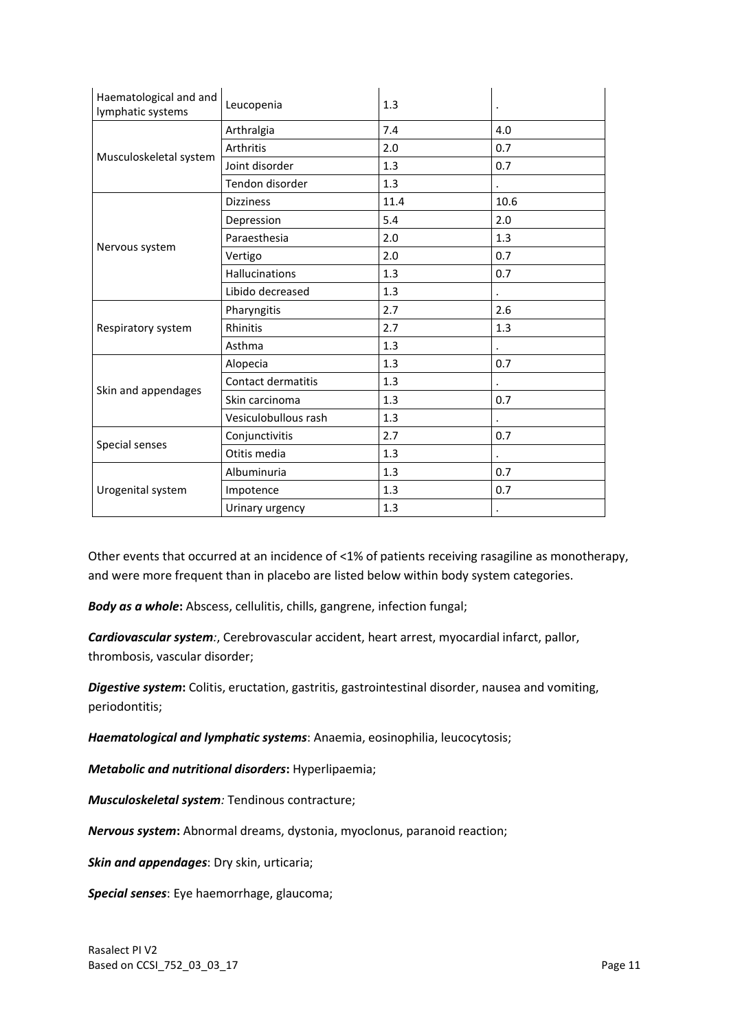| Haematological and and<br>lymphatic systems | Leucopenia           | 1.3  |      |
|---------------------------------------------|----------------------|------|------|
|                                             | Arthralgia           | 7.4  | 4.0  |
|                                             | Arthritis            | 2.0  | 0.7  |
| Musculoskeletal system                      | Joint disorder       | 1.3  | 0.7  |
|                                             | Tendon disorder      | 1.3  |      |
|                                             | <b>Dizziness</b>     | 11.4 | 10.6 |
|                                             | Depression           | 5.4  | 2.0  |
|                                             | Paraesthesia         | 2.0  | 1.3  |
| Nervous system                              | Vertigo              | 2.0  | 0.7  |
|                                             | Hallucinations       | 1.3  | 0.7  |
|                                             | Libido decreased     | 1.3  |      |
|                                             | Pharyngitis          | 2.7  | 2.6  |
| Respiratory system                          | Rhinitis             | 2.7  | 1.3  |
|                                             | Asthma               | 1.3  |      |
|                                             | Alopecia             | 1.3  | 0.7  |
|                                             | Contact dermatitis   | 1.3  |      |
| Skin and appendages                         | Skin carcinoma       | 1.3  | 0.7  |
|                                             | Vesiculobullous rash | 1.3  |      |
| Special senses                              | Conjunctivitis       | 2.7  | 0.7  |
|                                             | Otitis media         | 1.3  |      |
|                                             | Albuminuria          | 1.3  | 0.7  |
| Urogenital system                           | Impotence            | 1.3  | 0.7  |
|                                             | Urinary urgency      | 1.3  |      |

Other events that occurred at an incidence of <1% of patients receiving rasagiline as monotherapy, and were more frequent than in placebo are listed below within body system categories.

*Body as a whole***:** Abscess, cellulitis, chills, gangrene, infection fungal;

*Cardiovascular system:*, Cerebrovascular accident, heart arrest, myocardial infarct, pallor, thrombosis, vascular disorder;

*Digestive system***:** Colitis, eructation, gastritis, gastrointestinal disorder, nausea and vomiting, periodontitis;

*Haematological and lymphatic systems*: Anaemia, eosinophilia, leucocytosis;

*Metabolic and nutritional disorders***:** Hyperlipaemia;

*Musculoskeletal system:* Tendinous contracture;

*Nervous system***:** Abnormal dreams, dystonia, myoclonus, paranoid reaction;

*Skin and appendages*: Dry skin, urticaria;

*Special senses*: Eye haemorrhage, glaucoma;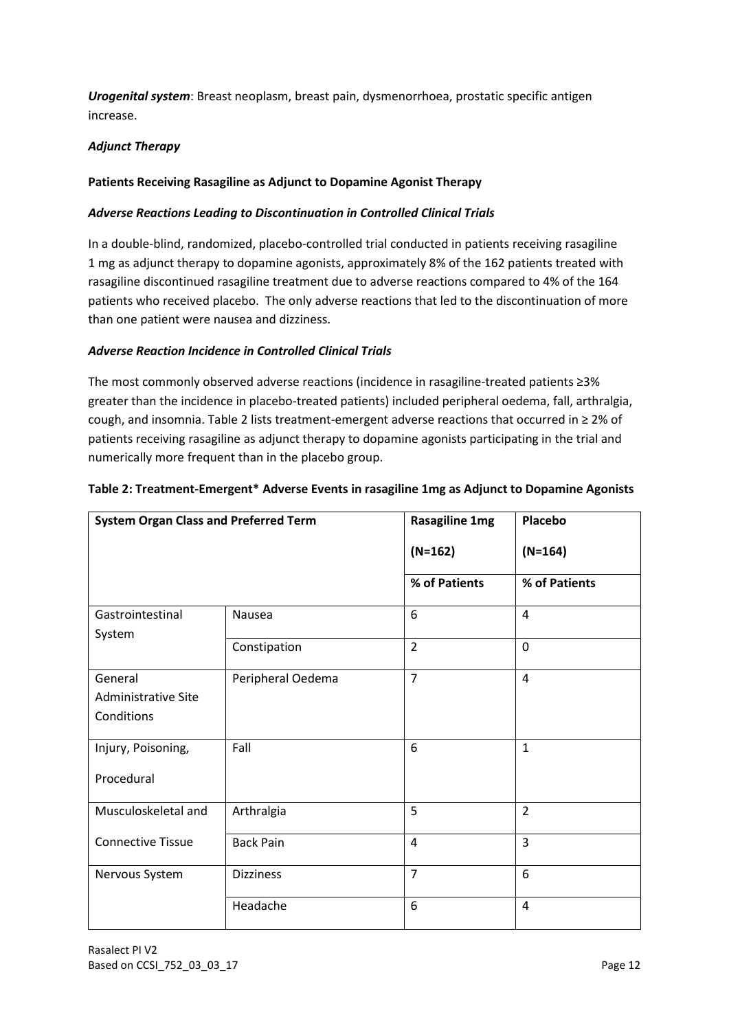*Urogenital system*: Breast neoplasm, breast pain, dysmenorrhoea, prostatic specific antigen increase.

## *Adjunct Therapy*

## **Patients Receiving Rasagiline as Adjunct to Dopamine Agonist Therapy**

#### *Adverse Reactions Leading to Discontinuation in Controlled Clinical Trials*

In a double-blind, randomized, placebo-controlled trial conducted in patients receiving rasagiline 1 mg as adjunct therapy to dopamine agonists, approximately 8% of the 162 patients treated with rasagiline discontinued rasagiline treatment due to adverse reactions compared to 4% of the 164 patients who received placebo. The only adverse reactions that led to the discontinuation of more than one patient were nausea and dizziness.

### *Adverse Reaction Incidence in Controlled Clinical Trials*

The most commonly observed adverse reactions (incidence in rasagiline-treated patients ≥3% greater than the incidence in placebo-treated patients) included peripheral oedema, fall, arthralgia, cough, and insomnia. Table 2 lists treatment-emergent adverse reactions that occurred in ≥ 2% of patients receiving rasagiline as adjunct therapy to dopamine agonists participating in the trial and numerically more frequent than in the placebo group.

| <b>System Organ Class and Preferred Term</b> |                   | <b>Rasagiline 1mg</b> | Placebo        |
|----------------------------------------------|-------------------|-----------------------|----------------|
|                                              |                   | $(N=162)$             | $(N=164)$      |
|                                              |                   | % of Patients         | % of Patients  |
| Gastrointestinal                             | Nausea            | 6                     | 4              |
| System                                       | Constipation      | $\overline{2}$        | $\mathbf 0$    |
|                                              |                   |                       |                |
| General                                      | Peripheral Oedema | $\overline{7}$        | $\overline{4}$ |
| <b>Administrative Site</b>                   |                   |                       |                |
| Conditions                                   |                   |                       |                |
| Injury, Poisoning,                           | Fall              | 6                     | $\mathbf{1}$   |
| Procedural                                   |                   |                       |                |
| Musculoskeletal and                          | Arthralgia        | 5                     | $\overline{2}$ |
| <b>Connective Tissue</b>                     | <b>Back Pain</b>  | $\overline{4}$        | 3              |
| Nervous System                               | <b>Dizziness</b>  | $\overline{7}$        | 6              |
|                                              | Headache          | 6                     | 4              |

### **Table 2: Treatment-Emergent\* Adverse Events in rasagiline 1mg as Adjunct to Dopamine Agonists**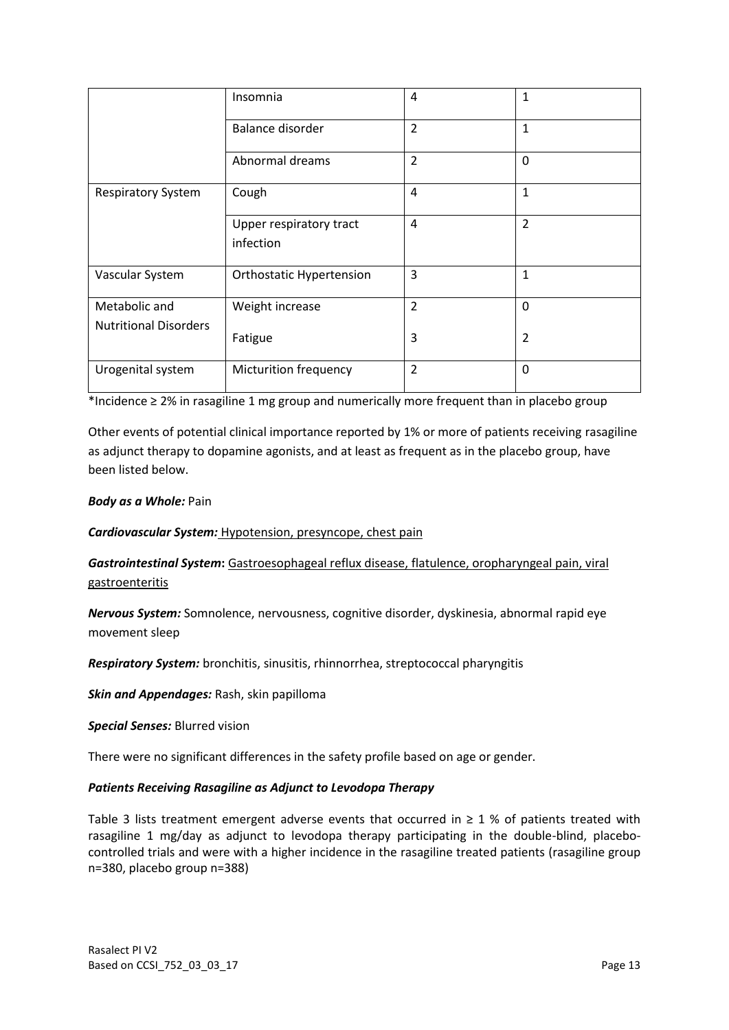|                                               | Insomnia                             | 4              | 1              |
|-----------------------------------------------|--------------------------------------|----------------|----------------|
|                                               | Balance disorder                     | $\overline{2}$ | 1              |
|                                               | Abnormal dreams                      | $\overline{2}$ | 0              |
| <b>Respiratory System</b>                     | Cough                                | 4              | $\mathbf{1}$   |
|                                               | Upper respiratory tract<br>infection | 4              | $\overline{2}$ |
| Vascular System                               | <b>Orthostatic Hypertension</b>      | 3              | 1              |
| Metabolic and<br><b>Nutritional Disorders</b> | Weight increase                      | $\overline{2}$ | 0              |
|                                               | Fatigue                              | 3              | $\overline{2}$ |
| Urogenital system                             | <b>Micturition frequency</b>         | $\overline{2}$ | $\Omega$       |

\*Incidence ≥ 2% in rasagiline 1 mg group and numerically more frequent than in placebo group

Other events of potential clinical importance reported by 1% or more of patients receiving rasagiline as adjunct therapy to dopamine agonists, and at least as frequent as in the placebo group, have been listed below.

## *Body as a Whole:* Pain

*Cardiovascular System:* Hypotension, presyncope, chest pain

*Gastrointestinal System***:** Gastroesophageal reflux disease, flatulence, oropharyngeal pain, viral gastroenteritis

*Nervous System:* Somnolence, nervousness, cognitive disorder, dyskinesia, abnormal rapid eye movement sleep

*Respiratory System:* bronchitis, sinusitis, rhinnorrhea, streptococcal pharyngitis

*Skin and Appendages:* Rash, skin papilloma

*Special Senses:* Blurred vision

There were no significant differences in the safety profile based on age or gender.

#### *Patients Receiving Rasagiline as Adjunct to Levodopa Therapy*

Table 3 lists treatment emergent adverse events that occurred in  $\geq 1$  % of patients treated with rasagiline 1 mg/day as adjunct to levodopa therapy participating in the double-blind, placebocontrolled trials and were with a higher incidence in the rasagiline treated patients (rasagiline group n=380, placebo group n=388)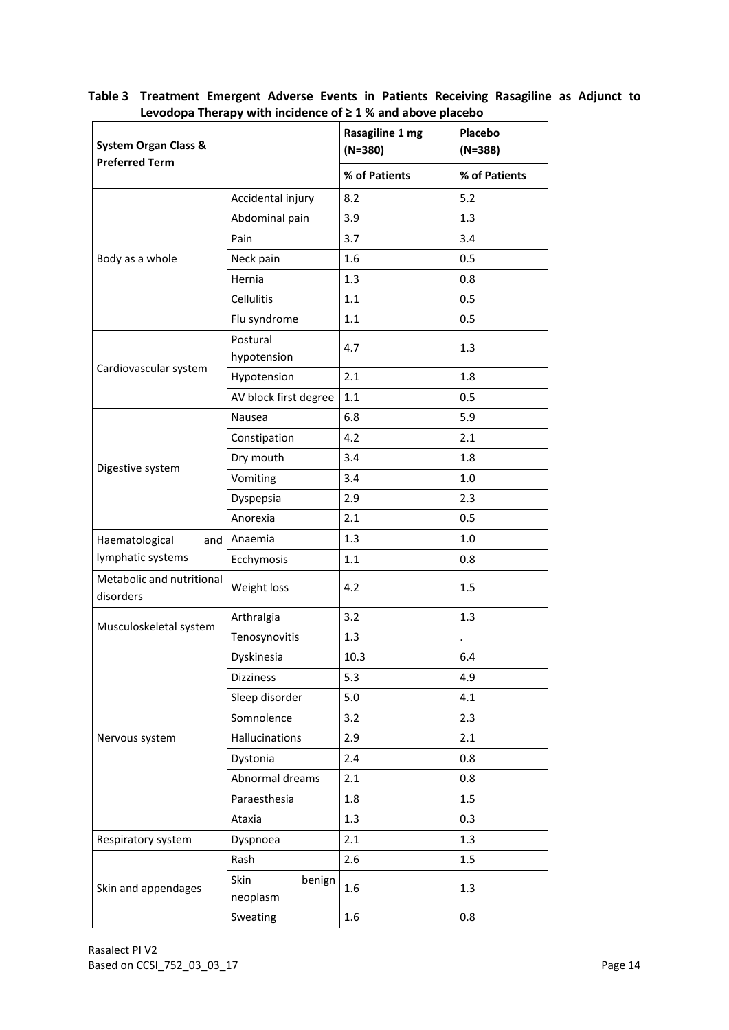|                                                          |                            | Levodopa Therapy with incluence of 2 1 % and above placebo<br>Rasagiline 1 mg | Placebo       |
|----------------------------------------------------------|----------------------------|-------------------------------------------------------------------------------|---------------|
| <b>System Organ Class &amp;</b><br><b>Preferred Term</b> |                            | $(N=380)$                                                                     | $(N=388)$     |
|                                                          |                            | % of Patients                                                                 | % of Patients |
|                                                          | Accidental injury          | 8.2                                                                           | 5.2           |
|                                                          | Abdominal pain             | 3.9                                                                           | 1.3           |
|                                                          | Pain                       | 3.7                                                                           | 3.4           |
| Body as a whole                                          | Neck pain                  | 1.6                                                                           | 0.5           |
|                                                          | Hernia                     | 1.3                                                                           | 0.8           |
|                                                          | Cellulitis                 | 1.1                                                                           | 0.5           |
|                                                          | Flu syndrome               | 1.1                                                                           | 0.5           |
|                                                          | Postural<br>hypotension    | 4.7                                                                           | 1.3           |
| Cardiovascular system                                    | Hypotension                | 2.1                                                                           | 1.8           |
|                                                          | AV block first degree      | $1.1$                                                                         | 0.5           |
|                                                          | Nausea                     | 6.8                                                                           | 5.9           |
|                                                          | Constipation               | 4.2                                                                           | 2.1           |
|                                                          | Dry mouth                  | 3.4                                                                           | 1.8           |
| Digestive system                                         | Vomiting                   | 3.4                                                                           | 1.0           |
|                                                          | Dyspepsia                  | 2.9                                                                           | 2.3           |
|                                                          | Anorexia                   | 2.1                                                                           | 0.5           |
| Haematological<br>and                                    | Anaemia                    | 1.3                                                                           | 1.0           |
| lymphatic systems                                        | Ecchymosis                 | 1.1                                                                           | 0.8           |
| Metabolic and nutritional<br>disorders                   | Weight loss                | 4.2                                                                           | 1.5           |
|                                                          | Arthralgia                 | 3.2                                                                           | 1.3           |
| Musculoskeletal system                                   | Tenosynovitis              | 1.3                                                                           |               |
|                                                          | Dyskinesia                 | 10.3                                                                          | 6.4           |
|                                                          | Dizziness                  | 5.3                                                                           | 4.9           |
|                                                          | Sleep disorder             | 5.0                                                                           | 4.1           |
|                                                          | Somnolence                 | 3.2                                                                           | 2.3           |
| Nervous system                                           | Hallucinations             | 2.9                                                                           | 2.1           |
|                                                          | Dystonia                   | 2.4                                                                           | 0.8           |
|                                                          | Abnormal dreams            | 2.1                                                                           | 0.8           |
|                                                          | Paraesthesia               | 1.8                                                                           | 1.5           |
|                                                          | Ataxia                     | 1.3                                                                           | 0.3           |
| Respiratory system                                       | Dyspnoea                   | 2.1                                                                           | 1.3           |
|                                                          | Rash                       | 2.6                                                                           | $1.5\,$       |
| Skin and appendages                                      | Skin<br>benign<br>neoplasm | 1.6                                                                           | 1.3           |
|                                                          | Sweating                   | 1.6                                                                           | 0.8           |

**Table 3 Treatment Emergent Adverse Events in Patients Receiving Rasagiline as Adjunct to Levodopa Therapy with incidence of ≥ 1 % and above placebo**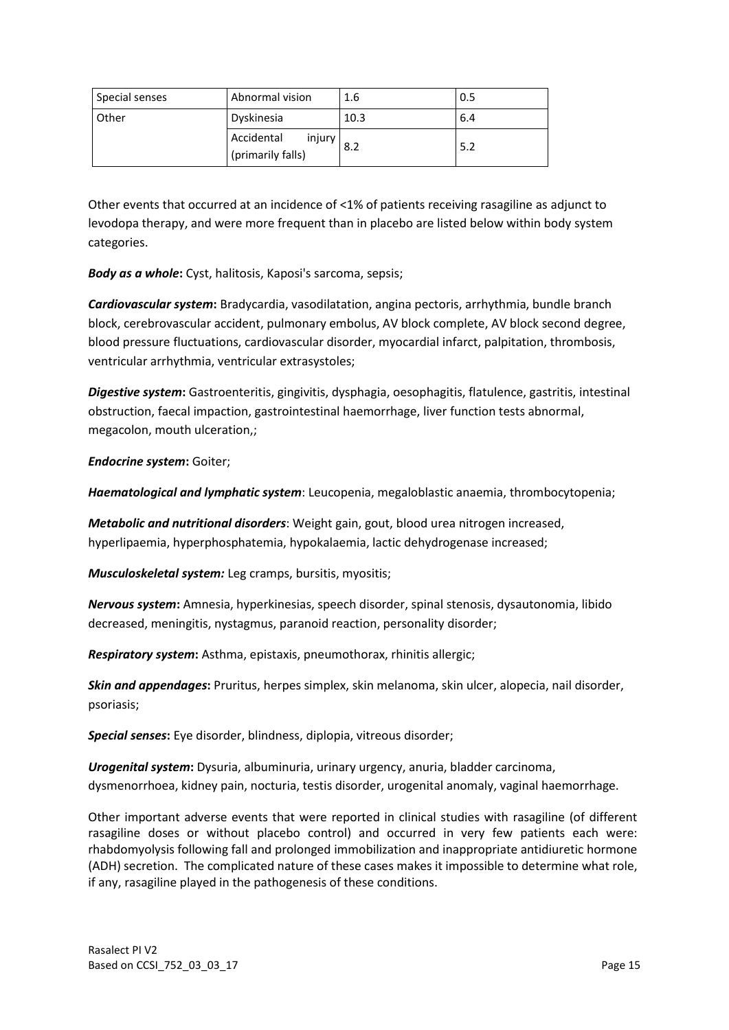| Special senses | Abnormal vision                           | 1.6  | 0.5 |
|----------------|-------------------------------------------|------|-----|
| <b>Other</b>   | Dyskinesia                                | 10.3 | 6.4 |
|                | Accidental<br>injury<br>(primarily falls) | 8.2  | 5.2 |

Other events that occurred at an incidence of <1% of patients receiving rasagiline as adjunct to levodopa therapy, and were more frequent than in placebo are listed below within body system categories.

*Body as a whole***:** Cyst, halitosis, Kaposi's sarcoma, sepsis;

*Cardiovascular system***:** Bradycardia, vasodilatation, angina pectoris, arrhythmia, bundle branch block, cerebrovascular accident, pulmonary embolus, AV block complete, AV block second degree, blood pressure fluctuations, cardiovascular disorder, myocardial infarct, palpitation, thrombosis, ventricular arrhythmia, ventricular extrasystoles;

*Digestive system***:** Gastroenteritis, gingivitis, dysphagia, oesophagitis, flatulence, gastritis, intestinal obstruction, faecal impaction, gastrointestinal haemorrhage, liver function tests abnormal, megacolon, mouth ulceration,;

*Endocrine system***:** Goiter;

*Haematological and lymphatic system*: Leucopenia, megaloblastic anaemia, thrombocytopenia;

*Metabolic and nutritional disorders*: Weight gain, gout, blood urea nitrogen increased, hyperlipaemia, hyperphosphatemia, hypokalaemia, lactic dehydrogenase increased;

*Musculoskeletal system:* Leg cramps, bursitis, myositis;

*Nervous system***:** Amnesia, hyperkinesias, speech disorder, spinal stenosis, dysautonomia, libido decreased, meningitis, nystagmus, paranoid reaction, personality disorder;

*Respiratory system***:** Asthma, epistaxis, pneumothorax, rhinitis allergic;

*Skin and appendages***:** Pruritus, herpes simplex, skin melanoma, skin ulcer, alopecia, nail disorder, psoriasis;

*Special senses***:** Eye disorder, blindness, diplopia, vitreous disorder;

*Urogenital system***:** Dysuria, albuminuria, urinary urgency, anuria, bladder carcinoma, dysmenorrhoea, kidney pain, nocturia, testis disorder, urogenital anomaly, vaginal haemorrhage.

Other important adverse events that were reported in clinical studies with rasagiline (of different rasagiline doses or without placebo control) and occurred in very few patients each were: rhabdomyolysis following fall and prolonged immobilization and inappropriate antidiuretic hormone (ADH) secretion. The complicated nature of these cases makes it impossible to determine what role, if any, rasagiline played in the pathogenesis of these conditions.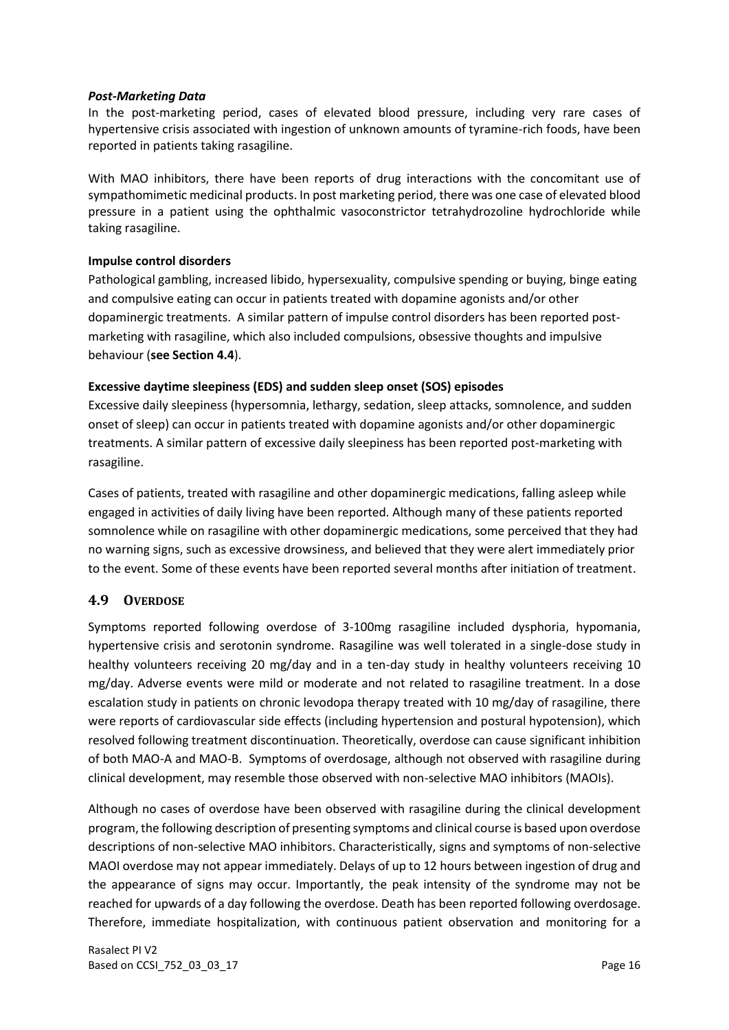#### *Post-Marketing Data*

In the post-marketing period, cases of elevated blood pressure, including very rare cases of hypertensive crisis associated with ingestion of unknown amounts of tyramine-rich foods, have been reported in patients taking rasagiline.

With MAO inhibitors, there have been reports of drug interactions with the concomitant use of sympathomimetic medicinal products. In post marketing period, there was one case of elevated blood pressure in a patient using the ophthalmic vasoconstrictor tetrahydrozoline hydrochloride while taking rasagiline.

#### **Impulse control disorders**

Pathological gambling, increased libido, hypersexuality, compulsive spending or buying, binge eating and compulsive eating can occur in patients treated with dopamine agonists and/or other dopaminergic treatments. A similar pattern of impulse control disorders has been reported postmarketing with rasagiline, which also included compulsions, obsessive thoughts and impulsive behaviour (**see Section 4.4**).

#### **Excessive daytime sleepiness (EDS) and sudden sleep onset (SOS) episodes**

Excessive daily sleepiness (hypersomnia, lethargy, sedation, sleep attacks, somnolence, and sudden onset of sleep) can occur in patients treated with dopamine agonists and/or other dopaminergic treatments. A similar pattern of excessive daily sleepiness has been reported post-marketing with rasagiline.

Cases of patients, treated with rasagiline and other dopaminergic medications, falling asleep while engaged in activities of daily living have been reported. Although many of these patients reported somnolence while on rasagiline with other dopaminergic medications, some perceived that they had no warning signs, such as excessive drowsiness, and believed that they were alert immediately prior to the event. Some of these events have been reported several months after initiation of treatment.

## **4.9 OVERDOSE**

Symptoms reported following overdose of 3-100mg rasagiline included dysphoria, hypomania, hypertensive crisis and serotonin syndrome. Rasagiline was well tolerated in a single-dose study in healthy volunteers receiving 20 mg/day and in a ten-day study in healthy volunteers receiving 10 mg/day. Adverse events were mild or moderate and not related to rasagiline treatment. In a dose escalation study in patients on chronic levodopa therapy treated with 10 mg/day of rasagiline, there were reports of cardiovascular side effects (including hypertension and postural hypotension), which resolved following treatment discontinuation. Theoretically, overdose can cause significant inhibition of both MAO-A and MAO-B. Symptoms of overdosage, although not observed with rasagiline during clinical development, may resemble those observed with non-selective MAO inhibitors (MAOIs).

Although no cases of overdose have been observed with rasagiline during the clinical development program, the following description of presenting symptoms and clinical course is based upon overdose descriptions of non-selective MAO inhibitors. Characteristically, signs and symptoms of non-selective MAOI overdose may not appear immediately. Delays of up to 12 hours between ingestion of drug and the appearance of signs may occur. Importantly, the peak intensity of the syndrome may not be reached for upwards of a day following the overdose. Death has been reported following overdosage. Therefore, immediate hospitalization, with continuous patient observation and monitoring for a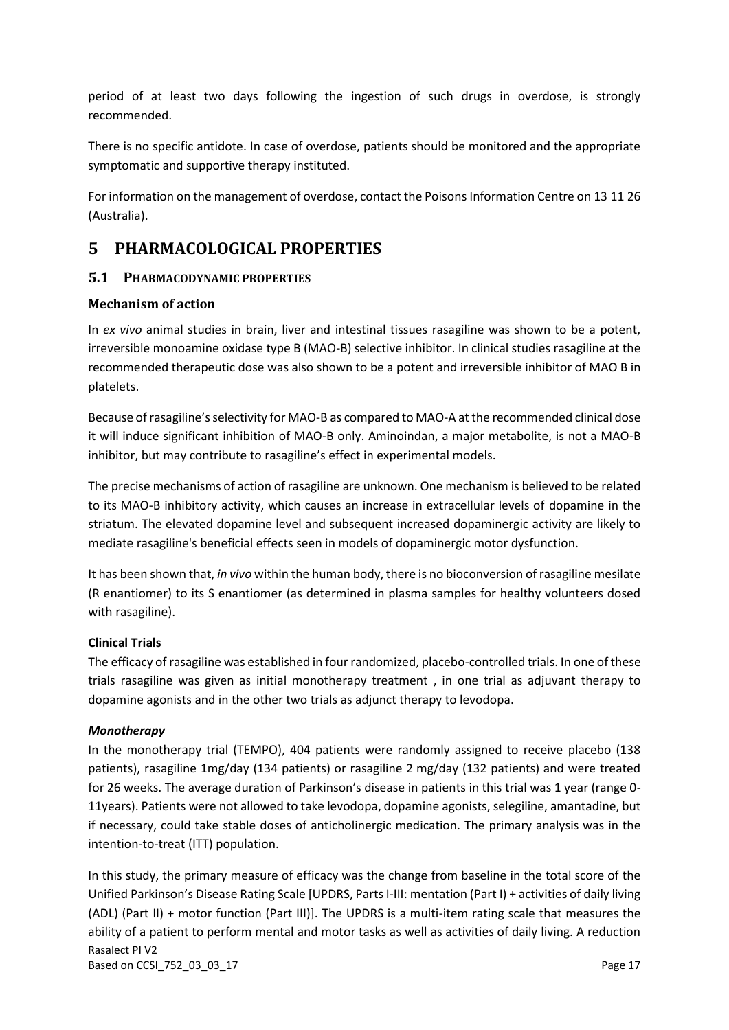period of at least two days following the ingestion of such drugs in overdose, is strongly recommended.

There is no specific antidote. In case of overdose, patients should be monitored and the appropriate symptomatic and supportive therapy instituted.

For information on the management of overdose, contact the Poisons Information Centre on 13 11 26 (Australia).

# **5 PHARMACOLOGICAL PROPERTIES**

## **5.1 PHARMACODYNAMIC PROPERTIES**

## **Mechanism of action**

In *ex vivo* animal studies in brain, liver and intestinal tissues rasagiline was shown to be a potent, irreversible monoamine oxidase type B (MAO-B) selective inhibitor. In clinical studies rasagiline at the recommended therapeutic dose was also shown to be a potent and irreversible inhibitor of MAO B in platelets.

Because of rasagiline's selectivity for MAO-B as compared to MAO-A at the recommended clinical dose it will induce significant inhibition of MAO-B only. Aminoindan, a major metabolite, is not a MAO-B inhibitor, but may contribute to rasagiline's effect in experimental models.

The precise mechanisms of action of rasagiline are unknown. One mechanism is believed to be related to its MAO-B inhibitory activity, which causes an increase in extracellular levels of dopamine in the striatum. The elevated dopamine level and subsequent increased dopaminergic activity are likely to mediate rasagiline's beneficial effects seen in models of dopaminergic motor dysfunction.

It has been shown that, *in vivo* within the human body, there is no bioconversion of rasagiline mesilate (R enantiomer) to its S enantiomer (as determined in plasma samples for healthy volunteers dosed with rasagiline).

## **Clinical Trials**

The efficacy of rasagiline was established in four randomized, placebo-controlled trials. In one of these trials rasagiline was given as initial monotherapy treatment , in one trial as adjuvant therapy to dopamine agonists and in the other two trials as adjunct therapy to levodopa.

#### *Monotherapy*

In the monotherapy trial (TEMPO), 404 patients were randomly assigned to receive placebo (138 patients), rasagiline 1mg/day (134 patients) or rasagiline 2 mg/day (132 patients) and were treated for 26 weeks. The average duration of Parkinson's disease in patients in this trial was 1 year (range 0- 11years). Patients were not allowed to take levodopa, dopamine agonists, selegiline, amantadine, but if necessary, could take stable doses of anticholinergic medication. The primary analysis was in the intention-to-treat (ITT) population.

Rasalect PI V2 Based on CCSI\_752\_03\_03\_17 **Page 17** In this study, the [primary](javascript:defwindow() measure of efficacy was the change from baseline in the total score of the Unified Parkinson's Disease Rating Scale [UPDRS, Parts I-III: mentation (Part I) + activities of daily living (ADL) (Part II) + motor function (Part III)]. The UPDRS is a multi-item rating [scale](javascript:defwindow() that measures the ability of a patient to perform mental and motor tasks as well as activities of daily living. A reduction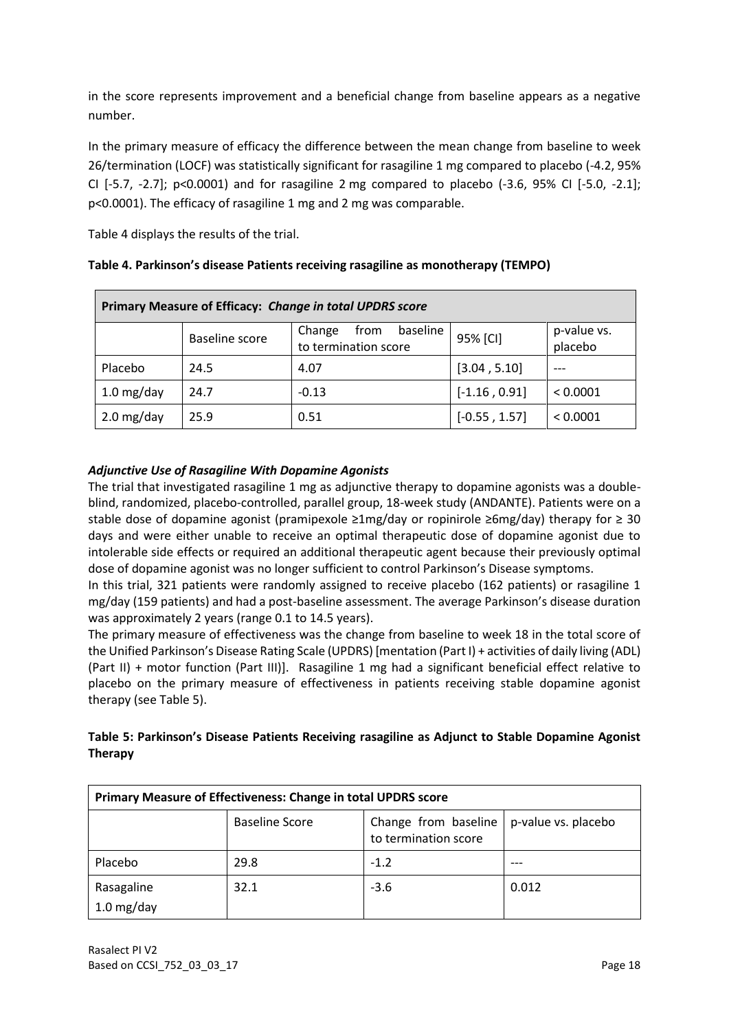in the score represents improvement and a beneficial change from baseline appears as a negative number.

In the primary measure of efficacy the difference between the mean change from baseline to week 26/termination (LOCF) was statistically significant for rasagiline 1 mg compared to placebo (-4.2, 95% CI [-5.7, -2.7]; p<0.0001) and for rasagiline 2 mg compared to placebo (-3.6, 95% CI [-5.0, -2.1]; p<0.0001). The efficacy of rasagiline 1 mg and 2 mg was comparable.

Table 4 displays the results of the trial.

| Primary Measure of Efficacy: Change in total UPDRS score |                |                                                    |                 |                        |  |
|----------------------------------------------------------|----------------|----------------------------------------------------|-----------------|------------------------|--|
|                                                          | Baseline score | baseline<br>Change<br>from<br>to termination score | 95% [CI]        | p-value vs.<br>placebo |  |
| Placebo                                                  | 24.5           | 4.07                                               | [3.04, 5.10]    |                        |  |
| $1.0$ mg/day                                             | 24.7           | $-0.13$                                            | $[-1.16, 0.91]$ | < 0.0001               |  |
| $2.0$ mg/day                                             | 25.9           | 0.51                                               | $[-0.55, 1.57]$ | < 0.0001               |  |

|  | Table 4. Parkinson's disease Patients receiving rasagiline as monotherapy (TEMPO) |  |
|--|-----------------------------------------------------------------------------------|--|
|--|-----------------------------------------------------------------------------------|--|

## *Adjunctive Use of Rasagiline With Dopamine Agonists*

The trial that investigated rasagiline 1 mg as adjunctive therapy to dopamine agonists was a doubleblind, randomized, placebo-controlled, parallel group, 18-week study (ANDANTE). Patients were on a stable dose of dopamine agonist (pramipexole ≥1mg/day or ropinirole ≥6mg/day) therapy for ≥ 30 days and were either unable to receive an optimal therapeutic dose of dopamine agonist due to intolerable side effects or required an additional therapeutic agent because their previously optimal dose of dopamine agonist was no longer sufficient to control Parkinson's Disease symptoms.

In this trial, 321 patients were randomly assigned to receive placebo (162 patients) or rasagiline 1 mg/day (159 patients) and had a post-baseline assessment. The average Parkinson's disease duration was approximately 2 years (range 0.1 to 14.5 years).

The primary measure of effectiveness was the change from baseline to week 18 in the total score of the Unified Parkinson's Disease Rating Scale (UPDRS) [mentation (Part I) + activities of daily living (ADL) (Part II) + motor function (Part III)]. Rasagiline 1 mg had a significant beneficial effect relative to placebo on the primary measure of effectiveness in patients receiving stable dopamine agonist therapy (see Table 5).

| Table 5: Parkinson's Disease Patients Receiving rasagiline as Adjunct to Stable Dopamine Agonist |  |
|--------------------------------------------------------------------------------------------------|--|
| Therapy                                                                                          |  |

| Primary Measure of Effectiveness: Change in total UPDRS score |                       |                                              |                     |  |
|---------------------------------------------------------------|-----------------------|----------------------------------------------|---------------------|--|
|                                                               | <b>Baseline Score</b> | Change from baseline<br>to termination score | p-value vs. placebo |  |
| Placebo                                                       | 29.8                  | $-1.2$                                       |                     |  |
| Rasagaline<br>1.0 mg/day                                      | 32.1                  | $-3.6$                                       | 0.012               |  |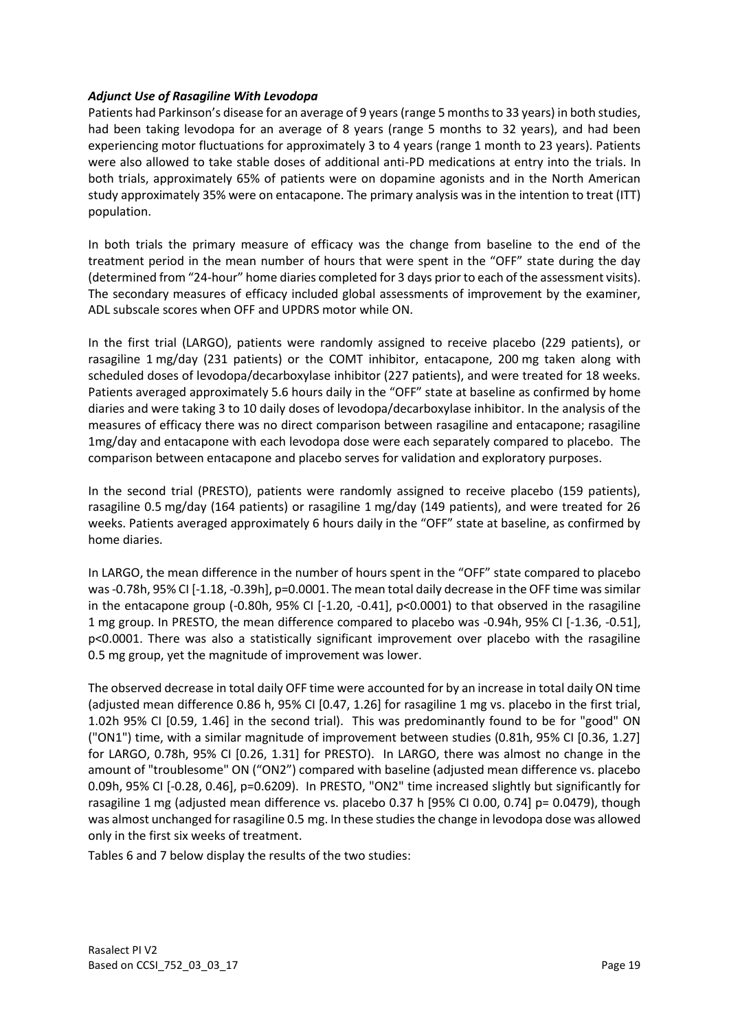#### *Adjunct Use of Rasagiline With Levodopa*

Patients had Parkinson's disease for an average of 9 years (range 5 months to 33 years) in both studies, had been taking levodopa for an average of 8 years (range 5 months to 32 years), and had been experiencing motor fluctuations for approximately 3 to 4 years (range 1 month to 23 years). Patients were also allowed to take stable doses of additional anti-PD medications at entry into the trials. In both trials, approximately 65% of patients were on dopamine agonists and in the North American study approximately 35% were on entacapone. The primary analysis was in the intention to treat (ITT) population.

In both trials the primary measure of efficacy was the change from baseline to the end of the treatment period in the mean number of hours that were spent in the "OFF" state during the day (determined from "24-hour" home diaries completed for 3 days prior to each of the assessment visits). The secondary measures of efficacy included global assessments of improvement by the examiner, ADL subscale scores when OFF and UPDRS motor while ON.

In the first trial (LARGO), patients were randomly assigned to receive placebo (229 patients), or rasagiline 1 mg/day (231 patients) or the COMT inhibitor, entacapone, 200 mg taken along with scheduled doses of levodopa/decarboxylase inhibitor (227 patients), and were treated for 18 weeks. Patients averaged approximately 5.6 hours daily in the "OFF" state at baseline as confirmed by home diaries and were taking 3 to 10 daily doses of levodopa/decarboxylase inhibitor. In the analysis of the measures of efficacy there was no direct comparison between rasagiline and entacapone; rasagiline 1mg/day and entacapone with each levodopa dose were each separately compared to placebo. The comparison between entacapone and placebo serves for validation and exploratory purposes.

In the second trial (PRESTO), patients were randomly assigned to receive placebo (159 patients), rasagiline 0.5 mg/day (164 patients) or rasagiline 1 mg/day (149 patients), and were treated for 26 weeks. Patients averaged approximately 6 hours daily in the "OFF" state at baseline, as confirmed by home diaries.

In LARGO, the mean difference in the number of hours spent in the "OFF" state compared to placebo was -0.78h, 95% CI [-1.18, -0.39h], p=0.0001. The mean total daily decrease in the OFF time was similar in the entacapone group (-0.80h,  $95\%$  CI [-1.20, -0.41], p<0.0001) to that observed in the rasagiline 1 mg group. In PRESTO, the mean difference compared to placebo was -0.94h, 95% CI [-1.36, -0.51], p<0.0001. There was also a statistically significant improvement over placebo with the rasagiline 0.5 mg group, yet the magnitude of improvement was lower.

The observed decrease in total daily OFF time were accounted for by an increase in total daily ON time (adjusted mean difference 0.86 h, 95% CI [0.47, 1.26] for rasagiline 1 mg vs. placebo in the first trial, 1.02h 95% CI [0.59, 1.46] in the second trial). This was predominantly found to be for "good" ON ("ON1") time, with a similar magnitude of improvement between studies (0.81h, 95% CI [0.36, 1.27] for LARGO, 0.78h, 95% CI [0.26, 1.31] for PRESTO). In LARGO, there was almost no change in the amount of "troublesome" ON ("ON2") compared with baseline (adjusted mean difference vs. placebo 0.09h, 95% CI [-0.28, 0.46], p=0.6209). In PRESTO, "ON2" time increased slightly but significantly for rasagiline 1 mg (adjusted mean difference vs. placebo 0.37 h [95% CI 0.00, 0.74] p= 0.0479), though was almost unchanged for rasagiline 0.5 mg. In these studies the change in levodopa dose was allowed only in the first six weeks of treatment.

Tables 6 and 7 below display the results of the two studies: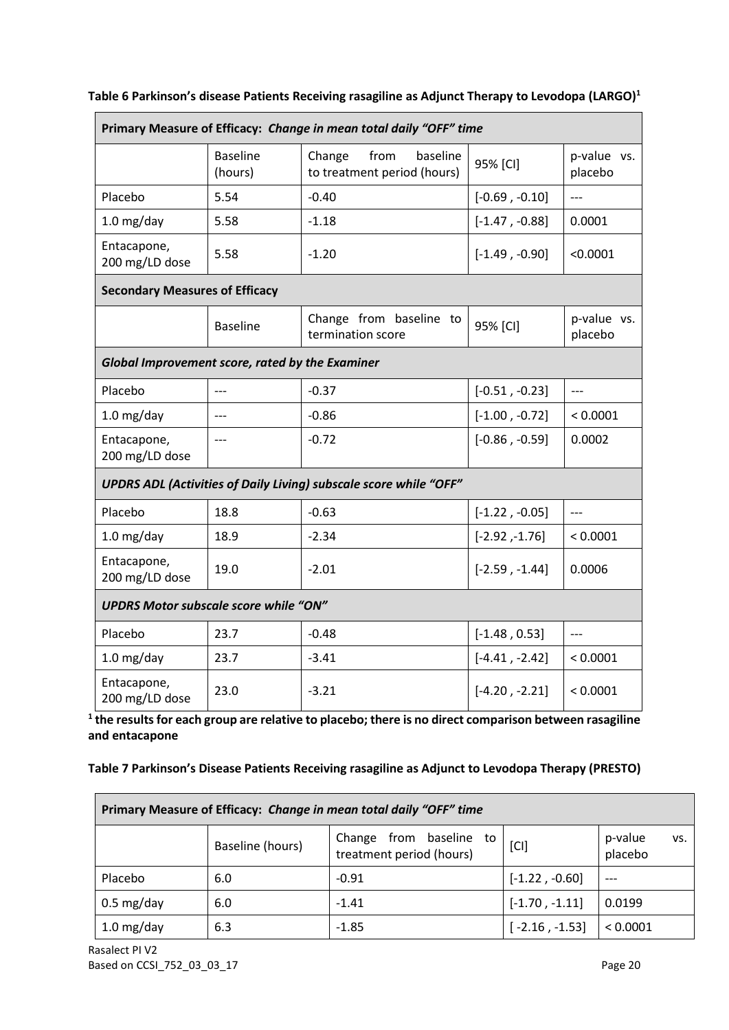| Primary Measure of Efficacy: Change in mean total daily "OFF" time       |                            |                                                           |                  |                          |
|--------------------------------------------------------------------------|----------------------------|-----------------------------------------------------------|------------------|--------------------------|
|                                                                          | <b>Baseline</b><br>(hours) | from<br>baseline<br>Change<br>to treatment period (hours) | 95% [CI]         | p-value vs.<br>placebo   |
| Placebo                                                                  | 5.54                       | $-0.40$                                                   | $[-0.69, -0.10]$ | $\overline{\phantom{a}}$ |
| $1.0$ mg/day                                                             | 5.58                       | $-1.18$                                                   | $[-1.47, -0.88]$ | 0.0001                   |
| Entacapone,<br>200 mg/LD dose                                            | 5.58                       | $-1.20$                                                   | $[-1.49, -0.90]$ | < 0.0001                 |
| <b>Secondary Measures of Efficacy</b>                                    |                            |                                                           |                  |                          |
|                                                                          | <b>Baseline</b>            | Change from baseline to<br>termination score              | 95% [CI]         | p-value vs.<br>placebo   |
| Global Improvement score, rated by the Examiner                          |                            |                                                           |                  |                          |
| Placebo                                                                  | $---$                      | $-0.37$                                                   | $[-0.51, -0.23]$ | $---$                    |
| $1.0$ mg/day                                                             | $---$                      | $-0.86$                                                   | $[-1.00, -0.72]$ | < 0.0001                 |
| Entacapone,<br>200 mg/LD dose                                            | $---$                      | $-0.72$                                                   | $[-0.86, -0.59]$ | 0.0002                   |
| <b>UPDRS ADL (Activities of Daily Living) subscale score while "OFF"</b> |                            |                                                           |                  |                          |
| Placebo                                                                  | 18.8                       | $-0.63$                                                   | $[-1.22, -0.05]$ | $---$                    |
| $1.0$ mg/day                                                             | 18.9                       | $-2.34$                                                   | $[-2.92, -1.76]$ | < 0.0001                 |
| Entacapone,<br>200 mg/LD dose                                            | 19.0                       | $-2.01$                                                   | $[-2.59, -1.44]$ | 0.0006                   |
| <b>UPDRS Motor subscale score while "ON"</b>                             |                            |                                                           |                  |                          |
| Placebo                                                                  | 23.7                       | $-0.48$                                                   | $[-1.48, 0.53]$  | $---$                    |
| $1.0$ mg/day                                                             | 23.7                       | $-3.41$                                                   | $[-4.41, -2.42]$ | < 0.0001                 |
| Entacapone,<br>200 mg/LD dose                                            | 23.0                       | $-3.21$                                                   | $[-4.20, -2.21]$ | < 0.0001                 |

## **Table 6 Parkinson's disease Patients Receiving rasagiline as Adjunct Therapy to Levodopa (LARGO)<sup>1</sup>**

**1 the results for each group are relative to placebo; there is no direct comparison between rasagiline and entacapone**

### **Table 7 Parkinson's Disease Patients Receiving rasagiline as Adjunct to Levodopa Therapy (PRESTO)**

| Primary Measure of Efficacy: Change in mean total daily "OFF" time |                  |                                                        |                  |                           |  |
|--------------------------------------------------------------------|------------------|--------------------------------------------------------|------------------|---------------------------|--|
|                                                                    | Baseline (hours) | from baseline to<br>Change<br>treatment period (hours) | [CI]             | p-value<br>VS.<br>placebo |  |
| Placebo                                                            | 6.0              | $-0.91$                                                | $[-1.22, -0.60]$ | $---$                     |  |
| $0.5 \text{ mg/day}$                                               | 6.0              | $-1.41$                                                | $[-1.70, -1.11]$ | 0.0199                    |  |
| $1.0$ mg/day                                                       | 6.3              | $-1.85$                                                | $[-2.16, -1.53]$ | < 0.0001                  |  |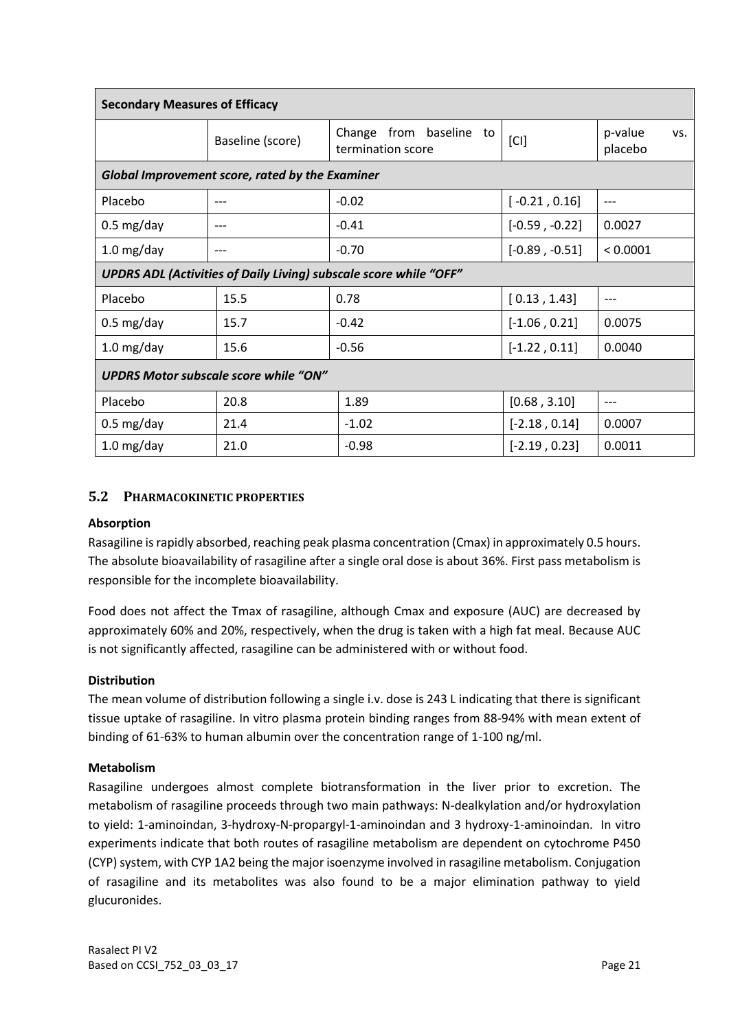| <b>Secondary Measures of Efficacy</b>                                    |                  |                                              |                  |                           |  |
|--------------------------------------------------------------------------|------------------|----------------------------------------------|------------------|---------------------------|--|
|                                                                          | Baseline (score) | Change from baseline to<br>termination score | [CI]             | p-value<br>VS.<br>placebo |  |
| Global Improvement score, rated by the Examiner                          |                  |                                              |                  |                           |  |
| Placebo                                                                  | ---              | $-0.02$                                      | $[-0.21, 0.16]$  | ---                       |  |
| $0.5 \text{ mg/day}$                                                     |                  | $-0.41$                                      | $[-0.59, -0.22]$ | 0.0027                    |  |
| $1.0$ mg/day                                                             |                  | $-0.70$                                      | $[-0.89, -0.51]$ | < 0.0001                  |  |
| <b>UPDRS ADL (Activities of Daily Living) subscale score while "OFF"</b> |                  |                                              |                  |                           |  |
| Placebo                                                                  | 15.5             | 0.78                                         | [0.13, 1.43]     | $---$                     |  |
| $0.5 \text{ mg/day}$                                                     | 15.7             | $-0.42$                                      | $[-1.06, 0.21]$  | 0.0075                    |  |
| $1.0$ mg/day                                                             | 15.6             | $-0.56$                                      | $[-1.22, 0.11]$  | 0.0040                    |  |
| <b>UPDRS Motor subscale score while "ON"</b>                             |                  |                                              |                  |                           |  |
| Placebo                                                                  | 20.8             | 1.89                                         | [0.68, 3.10]     | $---$                     |  |
| $0.5 \text{ mg/day}$                                                     | 21.4             | $-1.02$                                      | $[-2.18, 0.14]$  | 0.0007                    |  |
| $1.0$ mg/day                                                             | 21.0             | $-0.98$                                      | $[-2.19, 0.23]$  | 0.0011                    |  |

## **5.2 PHARMACOKINETIC PROPERTIES**

#### **Absorption**

Rasagiline is rapidly absorbed, reaching peak plasma concentration (Cmax) in approximately 0.5 hours. The absolute bioavailability of rasagiline after a single oral dose is about 36%. First pass metabolism is responsible for the incomplete bioavailability.

Food does not affect the Tmax of rasagiline, although Cmax and exposure (AUC) are decreased by approximately 60% and 20%, respectively, when the drug is taken with a high fat meal. Because AUC is not significantly affected, rasagiline can be administered with or without food.

#### **Distribution**

The mean volume of distribution following a single i.v. dose is 243 L indicating that there is significant tissue uptake of rasagiline. In vitro plasma protein binding ranges from 88-94% with mean extent of binding of 61-63% to human albumin over the concentration range of 1-100 ng/ml.

#### **Metabolism**

Rasagiline undergoes almost complete biotransformation in the liver prior to excretion. The metabolism of rasagiline proceeds through two main pathways: N-dealkylation and/or hydroxylation to yield: 1-aminoindan, 3-hydroxy-N-propargyl-1-aminoindan and 3 hydroxy-1-aminoindan. In vitro experiments indicate that both routes of rasagiline metabolism are dependent on cytochrome P450 (CYP) system, with CYP 1A2 being the major isoenzyme involved in rasagiline metabolism. Conjugation of rasagiline and its metabolites was also found to be a major elimination pathway to yield glucuronides.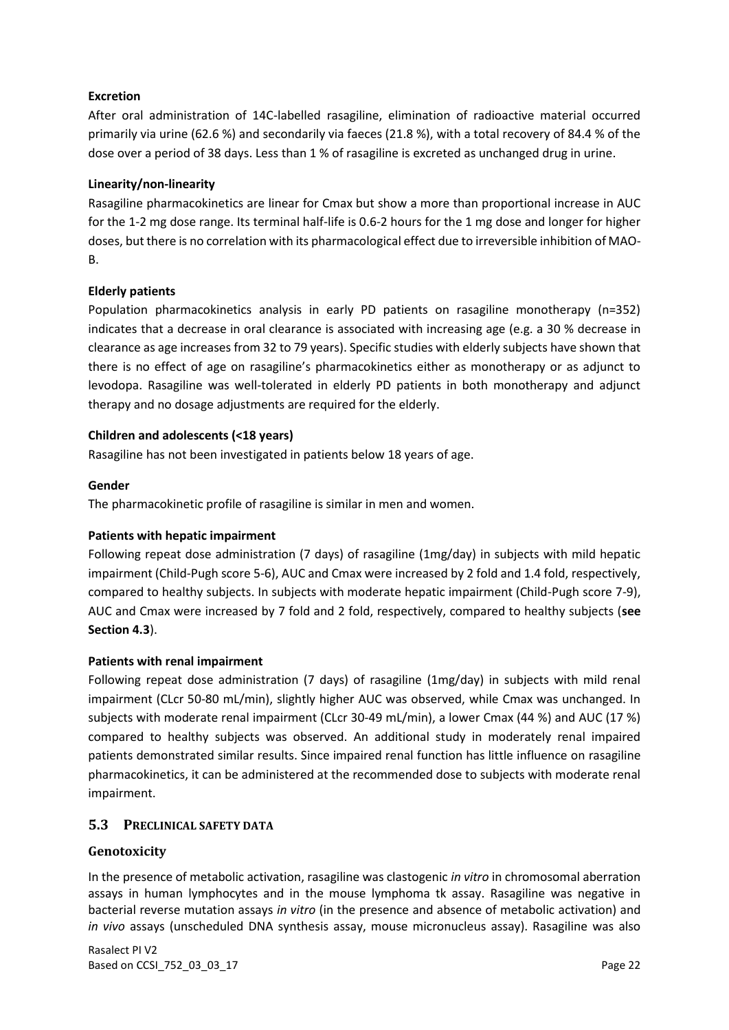## **Excretion**

After oral administration of 14C-labelled rasagiline, elimination of radioactive material occurred primarily via urine (62.6 %) and secondarily via faeces (21.8 %), with a total recovery of 84.4 % of the dose over a period of 38 days. Less than 1 % of rasagiline is excreted as unchanged drug in urine.

#### **Linearity/non-linearity**

Rasagiline pharmacokinetics are linear for Cmax but show a more than proportional increase in AUC for the 1-2 mg dose range. Its terminal half-life is 0.6-2 hours for the 1 mg dose and longer for higher doses, but there is no correlation with its pharmacological effect due to irreversible inhibition of MAO-B.

### **Elderly patients**

Population pharmacokinetics analysis in early PD patients on rasagiline monotherapy (n=352) indicates that a decrease in oral clearance is associated with increasing age (e.g. a 30 % decrease in clearance as age increases from 32 to 79 years). Specific studies with elderly subjects have shown that there is no effect of age on rasagiline's pharmacokinetics either as monotherapy or as adjunct to levodopa. Rasagiline was well-tolerated in elderly PD patients in both monotherapy and adjunct therapy and no dosage adjustments are required for the elderly.

### **Children and adolescents (<18 years)**

Rasagiline has not been investigated in patients below 18 years of age.

#### **Gender**

The pharmacokinetic profile of rasagiline is similar in men and women.

#### **Patients with hepatic impairment**

Following repeat dose administration (7 days) of rasagiline (1mg/day) in subjects with mild hepatic impairment (Child-Pugh score 5-6), AUC and Cmax were increased by 2 fold and 1.4 fold, respectively, compared to healthy subjects. In subjects with moderate hepatic impairment (Child-Pugh score 7-9), AUC and Cmax were increased by 7 fold and 2 fold, respectively, compared to healthy subjects (**see Section 4.3**).

#### **Patients with renal impairment**

Following repeat dose administration (7 days) of rasagiline (1mg/day) in subjects with mild renal impairment (CLcr 50-80 mL/min), slightly higher AUC was observed, while Cmax was unchanged. In subjects with moderate renal impairment (CLcr 30-49 mL/min), a lower Cmax (44 %) and AUC (17 %) compared to healthy subjects was observed. An additional study in moderately renal impaired patients demonstrated similar results. Since impaired renal function has little influence on rasagiline pharmacokinetics, it can be administered at the recommended dose to subjects with moderate renal impairment.

## **5.3 PRECLINICAL SAFETY DATA**

#### **Genotoxicity**

In the presence of metabolic activation, rasagiline was clastogenic *in vitro* in chromosomal aberration assays in human lymphocytes and in the mouse lymphoma tk assay. Rasagiline was negative in bacterial reverse mutation assays *in vitro* (in the presence and absence of metabolic activation) and *in vivo* assays (unscheduled DNA synthesis assay, mouse micronucleus assay). Rasagiline was also

Rasalect PI V2 Based on CCSI\_752\_03\_03\_17 Page 22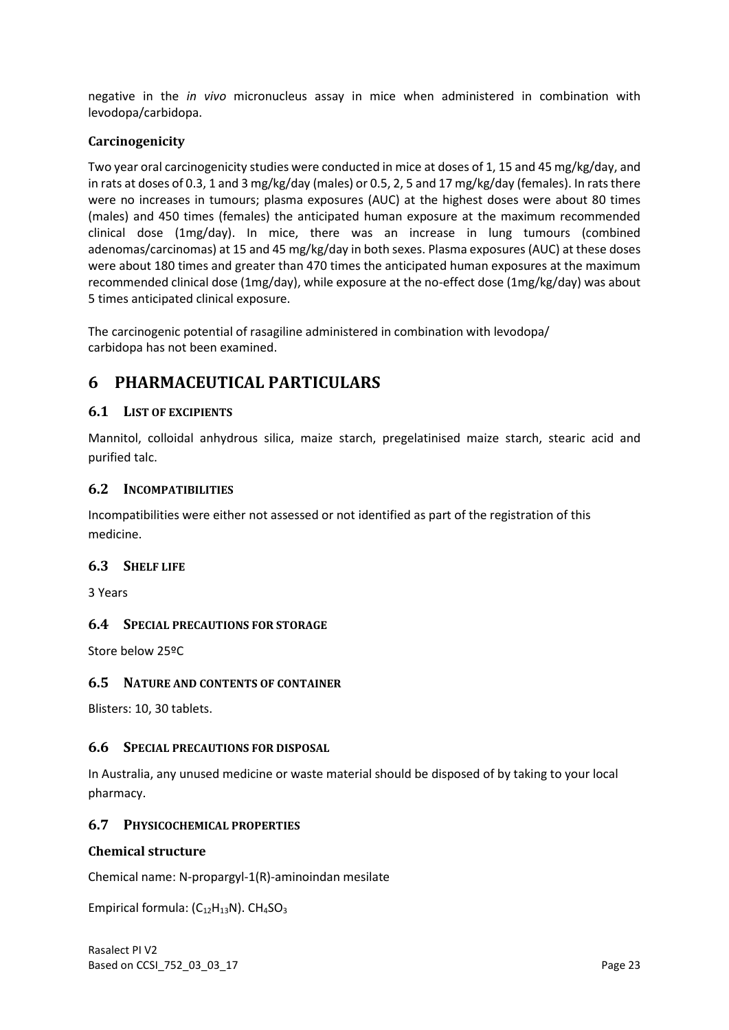negative in the *in vivo* micronucleus assay in mice when administered in combination with levodopa/carbidopa.

### **Carcinogenicity**

Two year oral carcinogenicity studies were conducted in mice at doses of 1, 15 and 45 mg/kg/day, and in rats at doses of 0.3, 1 and 3 mg/kg/day (males) or 0.5, 2, 5 and 17 mg/kg/day (females). In rats there were no increases in tumours; plasma exposures (AUC) at the highest doses were about 80 times (males) and 450 times (females) the anticipated human exposure at the maximum recommended clinical dose (1mg/day). In mice, there was an increase in lung tumours (combined adenomas/carcinomas) at 15 and 45 mg/kg/day in both sexes. Plasma exposures (AUC) at these doses were about 180 times and greater than 470 times the anticipated human exposures at the maximum recommended clinical dose (1mg/day), while exposure at the no-effect dose (1mg/kg/day) was about 5 times anticipated clinical exposure.

The carcinogenic potential of rasagiline administered in combination with levodopa/ carbidopa has not been examined.

## **6 PHARMACEUTICAL PARTICULARS**

## **6.1 LIST OF EXCIPIENTS**

Mannitol, colloidal anhydrous silica, maize starch, pregelatinised maize starch, stearic acid and purified talc.

#### **6.2 INCOMPATIBILITIES**

Incompatibilities were either not assessed or not identified as part of the registration of this medicine.

#### **6.3 SHELF LIFE**

3 Years

#### **6.4 SPECIAL PRECAUTIONS FOR STORAGE**

Store below 25ºC

#### **6.5 NATURE AND CONTENTS OF CONTAINER**

Blisters: 10, 30 tablets.

#### **6.6 SPECIAL PRECAUTIONS FOR DISPOSAL**

In Australia, any unused medicine or waste material should be disposed of by taking to your local pharmacy.

#### **6.7 PHYSICOCHEMICAL PROPERTIES**

#### **Chemical structure**

Chemical name: N-propargyl-1(R)-aminoindan mesilate

Empirical formula:  $(C_{12}H_{13}N)$ . CH<sub>4</sub>SO<sub>3</sub>

Rasalect PI V2 Based on CCSI\_752\_03\_03\_17 **Page 23**